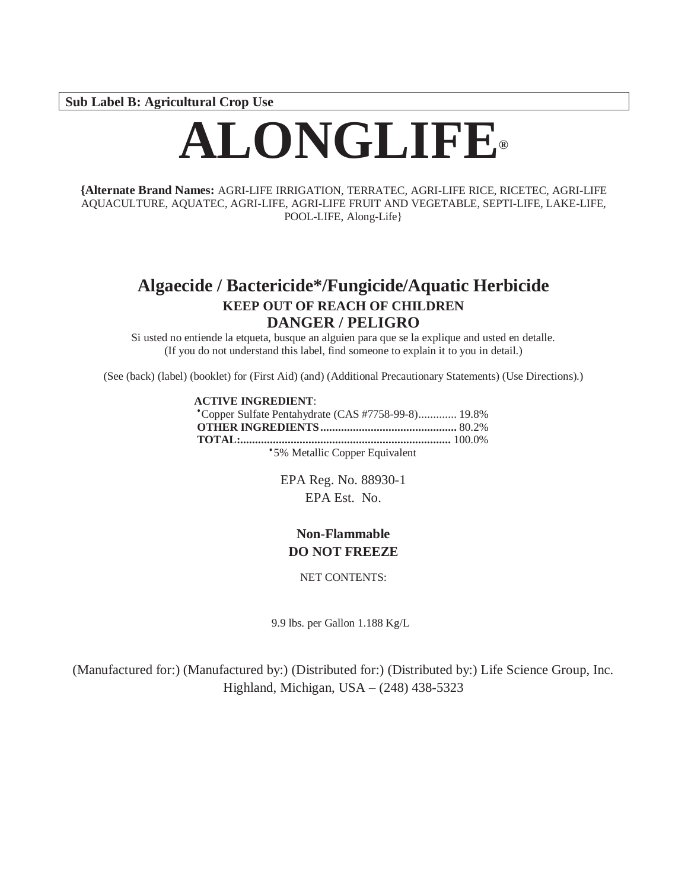**Sub Label B: Agricultural Crop Use**

# **ALONGLIFE®**

**{Alternate Brand Names:** AGRI-LIFE IRRIGATION, TERRATEC, AGRI-LIFE RICE, RICETEC, AGRI-LIFE AQUACULTURE, AQUATEC, AGRI-LIFE, AGRI-LIFE FRUIT AND VEGETABLE, SEPTI-LIFE, LAKE-LIFE, POOL-LIFE, Along-Life}

# **Algaecide / Bactericide\*/Fungicide/Aquatic Herbicide KEEP OUT OF REACH OF CHILDREN DANGER / PELIGRO**

Si usted no entiende la etqueta, busque an alguien para que se la explique and usted en detalle. (If you do not understand this label, find someone to explain it to you in detail.)

(See (back) (label) (booklet) for (First Aid) (and) (Additional Precautionary Statements) (Use Directions).)

#### **ACTIVE INGREDIENT**:

| *Copper Sulfate Pentahydrate (CAS #7758-99-8) 19.8% |  |
|-----------------------------------------------------|--|
|                                                     |  |
|                                                     |  |
| *5% Metallic Copper Equivalent                      |  |

EPA Reg. No. 88930-1 EPA Est. No.

# **Non-Flammable DO NOT FREEZE**

NET CONTENTS:

9.9 lbs. per Gallon 1.188 Kg/L

(Manufactured for:) (Manufactured by:) (Distributed for:) (Distributed by:) Life Science Group, Inc. Highland, Michigan, USA – (248) 438-5323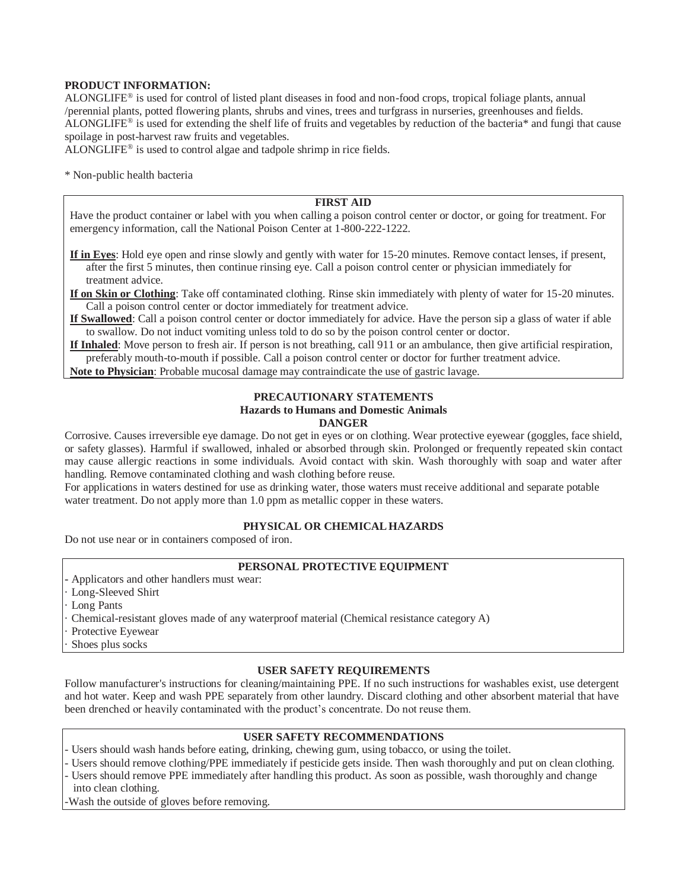#### **PRODUCT INFORMATION:**

ALONGLIFE® is used for control of listed plant diseases in food and non-food crops, tropical foliage plants, annual /perennial plants, potted flowering plants, shrubs and vines, trees and turfgrass in nurseries, greenhouses and fields. ALONGLIFE® is used for extending the shelf life of fruits and vegetables by reduction of the bacteria\* and fungi that cause spoilage in post-harvest raw fruits and vegetables.

ALONGLIFE® is used to control algae and tadpole shrimp in rice fields.

\* Non-public health bacteria

#### **FIRST AID**

Have the product container or label with you when calling a poison control center or doctor, or going for treatment. For emergency information, call the National Poison Center at 1-800-222-1222.

**If in Eyes**: Hold eye open and rinse slowly and gently with water for 15-20 minutes. Remove contact lenses, if present, after the first 5 minutes, then continue rinsing eye. Call a poison control center or physician immediately for treatment advice.

**If on Skin or Clothing**: Take off contaminated clothing. Rinse skin immediately with plenty of water for 15-20 minutes. Call a poison control center or doctor immediately for treatment advice.

**If Swallowed**: Call a poison control center or doctor immediately for advice. Have the person sip a glass of water if able to swallow. Do not induct vomiting unless told to do so by the poison control center or doctor.

**If Inhaled**: Move person to fresh air. If person is not breathing, call 911 or an ambulance, then give artificial respiration, preferably mouth-to-mouth if possible. Call a poison control center or doctor for further treatment advice.

**Note to Physician**: Probable mucosal damage may contraindicate the use of gastric lavage.

#### **PRECAUTIONARY STATEMENTS Hazards to Humans and Domestic Animals DANGER**

Corrosive. Causes irreversible eye damage. Do not get in eyes or on clothing. Wear protective eyewear (goggles, face shield, or safety glasses). Harmful if swallowed, inhaled or absorbed through skin. Prolonged or frequently repeated skin contact may cause allergic reactions in some individuals. Avoid contact with skin. Wash thoroughly with soap and water after handling. Remove contaminated clothing and wash clothing before reuse.

For applications in waters destined for use as drinking water, those waters must receive additional and separate potable water treatment. Do not apply more than 1.0 ppm as metallic copper in these waters.

#### **PHYSICAL OR CHEMICALHAZARDS**

Do not use near or in containers composed of iron.

#### **PERSONAL PROTECTIVE EQUIPMENT**

- **-** Applicators and other handlers must wear:
- · Long-Sleeved Shirt
- Long Pants
- · Chemical-resistant gloves made of any waterproof material (Chemical resistance category A)
- · Protective Eyewear
- Shoes plus socks

#### **USER SAFETY REQUIREMENTS**

Follow manufacturer's instructions for cleaning/maintaining PPE. If no such instructions for washables exist, use detergent and hot water. Keep and wash PPE separately from other laundry. Discard clothing and other absorbent material that have been drenched or heavily contaminated with the product's concentrate. Do not reuse them.

#### **USER SAFETY RECOMMENDATIONS**

Users should wash hands before eating, drinking, chewing gum, using tobacco, or using the toilet.

- Users should remove clothing/PPE immediately if pesticide gets inside. Then wash thoroughly and put on clean clothing. - Users should remove PPE immediately after handling this product. As soon as possible, wash thoroughly and change into clean clothing.

-Wash the outside of gloves before removing.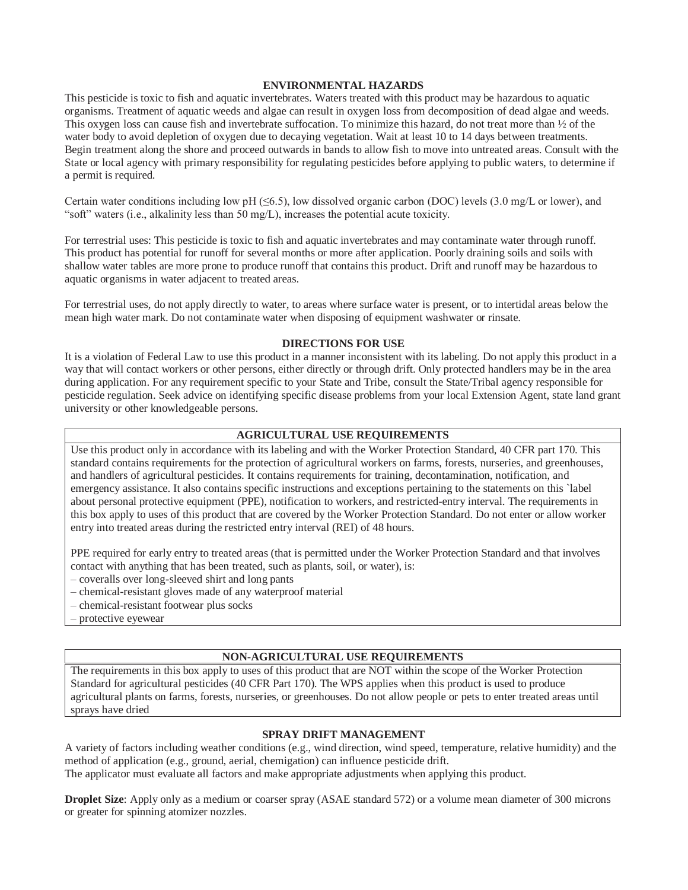#### **ENVIRONMENTAL HAZARDS**

This pesticide is toxic to fish and aquatic invertebrates. Waters treated with this product may be hazardous to aquatic organisms. Treatment of aquatic weeds and algae can result in oxygen loss from decomposition of dead algae and weeds. This oxygen loss can cause fish and invertebrate suffocation. To minimize this hazard, do not treat more than  $\frac{1}{2}$  of the water body to avoid depletion of oxygen due to decaying vegetation. Wait at least 10 to 14 days between treatments. Begin treatment along the shore and proceed outwards in bands to allow fish to move into untreated areas. Consult with the State or local agency with primary responsibility for regulating pesticides before applying to public waters, to determine if a permit is required.

Certain water conditions including low pH (≤6.5), low dissolved organic carbon (DOC) levels (3.0 mg/L or lower), and "soft" waters (i.e., alkalinity less than 50 mg/L), increases the potential acute toxicity.

For terrestrial uses: This pesticide is toxic to fish and aquatic invertebrates and may contaminate water through runoff. This product has potential for runoff for several months or more after application. Poorly draining soils and soils with shallow water tables are more prone to produce runoff that contains this product. Drift and runoff may be hazardous to aquatic organisms in water adjacent to treated areas.

For terrestrial uses, do not apply directly to water, to areas where surface water is present, or to intertidal areas below the mean high water mark. Do not contaminate water when disposing of equipment washwater or rinsate.

#### **DIRECTIONS FOR USE**

It is a violation of Federal Law to use this product in a manner inconsistent with its labeling. Do not apply this product in a way that will contact workers or other persons, either directly or through drift. Only protected handlers may be in the area during application. For any requirement specific to your State and Tribe, consult the State/Tribal agency responsible for pesticide regulation. Seek advice on identifying specific disease problems from your local Extension Agent, state land grant university or other knowledgeable persons.

#### **AGRICULTURAL USE REQUIREMENTS**

Use this product only in accordance with its labeling and with the Worker Protection Standard, 40 CFR part 170. This standard contains requirements for the protection of agricultural workers on farms, forests, nurseries, and greenhouses, and handlers of agricultural pesticides. It contains requirements for training, decontamination, notification, and emergency assistance. It also contains specific instructions and exceptions pertaining to the statements on this `label about personal protective equipment (PPE), notification to workers, and restricted-entry interval. The requirements in this box apply to uses of this product that are covered by the Worker Protection Standard. Do not enter or allow worker entry into treated areas during the restricted entry interval (REI) of 48 hours.

PPE required for early entry to treated areas (that is permitted under the Worker Protection Standard and that involves contact with anything that has been treated, such as plants, soil, or water), is:

- coveralls over long-sleeved shirt and long pants
- chemical-resistant gloves made of any waterproof material
- chemical-resistant footwear plus socks
- protective eyewear

#### **NON-AGRICULTURAL USE REQUIREMENTS**

The requirements in this box apply to uses of this product that are NOT within the scope of the Worker Protection Standard for agricultural pesticides (40 CFR Part 170). The WPS applies when this product is used to produce agricultural plants on farms, forests, nurseries, or greenhouses. Do not allow people or pets to enter treated areas until sprays have dried

#### **SPRAY DRIFT MANAGEMENT**

A variety of factors including weather conditions (e.g., wind direction, wind speed, temperature, relative humidity) and the method of application (e.g., ground, aerial, chemigation) can influence pesticide drift.

The applicator must evaluate all factors and make appropriate adjustments when applying this product.

**Droplet Size**: Apply only as a medium or coarser spray (ASAE standard 572) or a volume mean diameter of 300 microns or greater for spinning atomizer nozzles.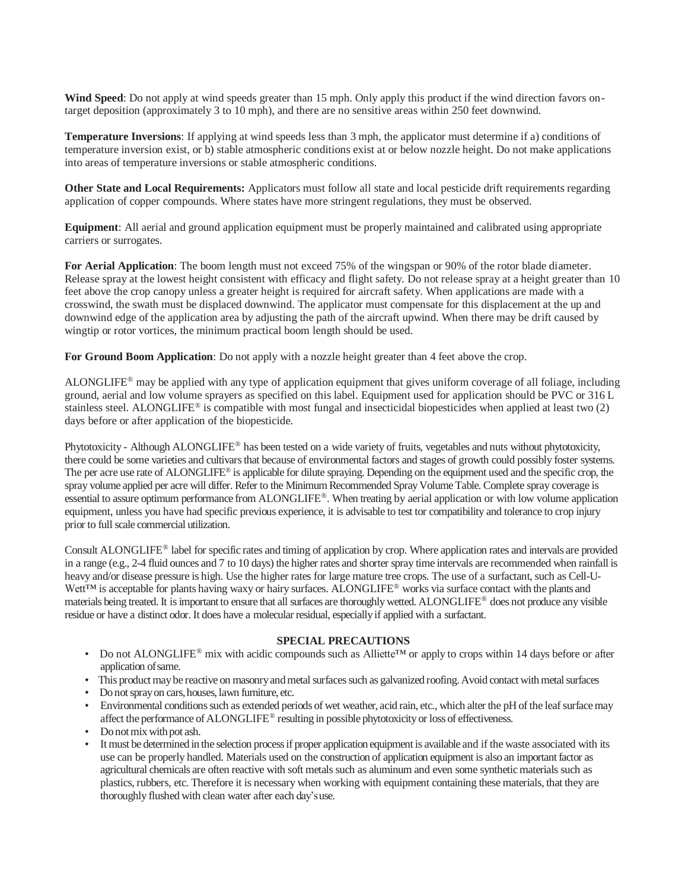**Wind Speed**: Do not apply at wind speeds greater than 15 mph. Only apply this product if the wind direction favors ontarget deposition (approximately 3 to 10 mph), and there are no sensitive areas within 250 feet downwind.

**Temperature Inversions**: If applying at wind speeds less than 3 mph, the applicator must determine if a) conditions of temperature inversion exist, or b) stable atmospheric conditions exist at or below nozzle height. Do not make applications into areas of temperature inversions or stable atmospheric conditions.

**Other State and Local Requirements:** Applicators must follow all state and local pesticide drift requirements regarding application of copper compounds. Where states have more stringent regulations, they must be observed.

**Equipment**: All aerial and ground application equipment must be properly maintained and calibrated using appropriate carriers or surrogates.

**For Aerial Application**: The boom length must not exceed 75% of the wingspan or 90% of the rotor blade diameter. Release spray at the lowest height consistent with efficacy and flight safety. Do not release spray at a height greater than 10 feet above the crop canopy unless a greater height is required for aircraft safety. When applications are made with a crosswind, the swath must be displaced downwind. The applicator must compensate for this displacement at the up and downwind edge of the application area by adjusting the path of the aircraft upwind. When there may be drift caused by wingtip or rotor vortices, the minimum practical boom length should be used.

**For Ground Boom Application**: Do not apply with a nozzle height greater than 4 feet above the crop.

ALONGLIFE® may be applied with any type of application equipment that gives uniform coverage of all foliage, including ground, aerial and low volume sprayers as specified on this label. Equipment used for application should be PVC or 316 L stainless steel. ALONGLIFE<sup>®</sup> is compatible with most fungal and insecticidal biopesticides when applied at least two  $(2)$ days before or after application of the biopesticide.

Phytotoxicity - Although ALONGLIFE® has been tested on a wide variety of fruits, vegetables and nuts without phytotoxicity, there could be some varieties and cultivars that because of environmental factors and stages of growth could possibly foster systems. The per acre use rate of ALONGLIFE<sup>®</sup> is applicable for dilute spraying. Depending on the equipment used and the specific crop, the spray volume applied per acre will differ. Refer to the Minimum Recommended Spray Volume Table. Complete spray coverage is essential to assure optimum performance from ALONGLIFE®. When treating by aerial application or with low volume application equipment, unless you have had specific previous experience, it is advisable to test tor compatibility and tolerance to crop injury prior to full scale commercial utilization.

Consult ALONGLIFE® label for specific rates and timing of application by crop. Where application rates and intervals are provided in a range (e.g., 2-4 fluid ounces and 7 to 10 days) the higher rates and shorter spray time intervals are recommended when rainfall is heavy and/or disease pressure is high. Use the higher rates for large mature tree crops. The use of a surfactant, such as Cell-U-Wett™ is acceptable for plants having waxy or hairy surfaces. ALONGLIFE® works via surface contact with the plants and materials being treated. It is important to ensure that all surfaces are thoroughly wetted. ALONGLIFE® does not produce any visible residue or have a distinct odor. It does have a molecular residual, especially if applied with a surfactant.

#### **SPECIAL PRECAUTIONS**

- Do not ALONGLIFE® mix with acidic compounds such as Alliette™ or apply to crops within 14 days before or after application ofsame.
- This product may be reactive on masonry and metal surfaces such as galvanized roofing. Avoid contact with metal surfaces
- Donotsprayon cars,houses,lawn furniture, etc.
- Environmental conditions such as extended periods of wet weather, acid rain, etc., which alter the pH of the leaf surface may affect the performance ofALONGLIFE® resulting in possible phytotoxicityor loss of effectiveness.
- Do not mix with pot ash.
- It must be determined in the selection process if proper application equipment is available and if the waste associated with its use can be properly handled. Materials used on the construction of application equipment is also an important factor as agricultural chemicals are often reactive with soft metals such as aluminum and even some synthetic materials such as plastics, rubbers, etc. Therefore it is necessary when working with equipment containing these materials, that they are thoroughly flushed with clean water after each day'suse.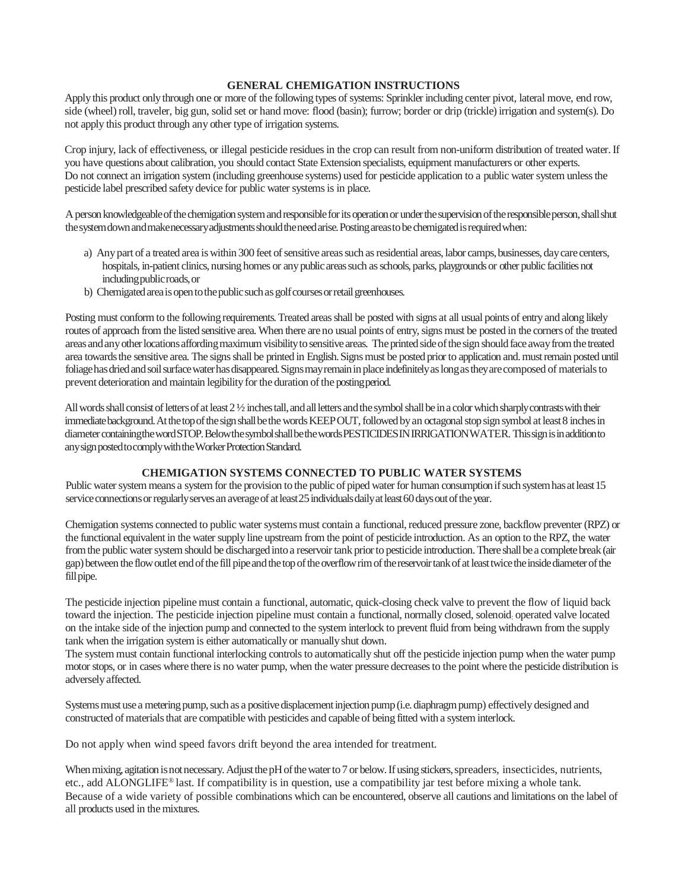#### **GENERAL CHEMIGATION INSTRUCTIONS**

Apply this product only through one or more of the following types of systems: Sprinkler including center pivot, lateral move, end row, side (wheel) roll, traveler, big gun, solid set or hand move: flood (basin); furrow; border or drip (trickle) irrigation and system(s). Do not apply this product through any other type of irrigation systems.

Crop injury, lack of effectiveness, or illegal pesticide residues in the crop can result from non-uniform distribution of treated water. If you have questions about calibration, you should contact State Extension specialists, equipment manufacturers or other experts. Do not connect an irrigation system (including greenhouse systems) used for pesticide application to a public water system unless the pesticide label prescribed safety device for public water systems is in place.

A person knowledgeable of the chemigation system and responsible for its operation or under the supervision of the responsible person, shall shut the system down and make necessary adjustments should the need arise. Posting areasto be chemigated is required when:

- a) Any part of a treated area is within 300 feet of sensitive areas such as residential areas, labor camps, businesses, day care centers, hospitals, in-patient clinics, nursing homes or any public areas such as schools, parks, playgrounds or other public facilities not includingpublicroads,or
- b) Chemigated area is open to the public such as golf courses or retail greenhouses.

Posting must conform to the following requirements. Treated areas shall be posted with signs at all usual points of entry and along likely routes of approach from the listed sensitive area. When there are no usual points of entry, signs must be posted in the corners of the treated areas and any other locations affording maximum visibility to sensitive areas. The printed side of the sign should face away from the treated area towards the sensitive area. The signs shall be printed in English. Signs must be posted prior to application and. must remain posted until foliagehas dried and soil surface water has disappeared. Signs may remain in place indefinitely as long as they are composed of materials to prevent deterioration and maintain legibility for the duration of the posting period.

All words shall consist of letters of at least  $2\frac{1}{2}$  inches tall, and all letters and the symbol shall be in a color which sharply contrasts with their immediate background. At the top of the sign shall be the words KEEPOUT, followed by an octagonal stop sign symbol at least 8 inches in diameter containing the word STOP. Below the symbol shall be the words PESTICIDES IN IRRIGATION WATER. This sign is in addition to any sign posted to comply with the Worker Protection Standard.

#### **CHEMIGATION SYSTEMS CONNECTED TO PUBLIC WATER SYSTEMS**

Public water system means a system for the provision to the public of piped water for human consumption if such system has at least 15 service connections or regularly serves an average of at least 25 individuals daily at least 60 days out of the year.

Chemigation systems connected to public water systems must contain a functional, reduced pressure zone, backflow preventer (RPZ) or the functional equivalent in the water supply line upstream from the point of pesticide introduction. As an option to the RPZ, the water from the public water system should be discharged into a reservoir tank prior to pesticide introduction. There shall be a complete break (air gap) between the flow outlet end of the fill pipe and the top of the overflow rim of the reservoir tank of at least twice the inside diameter of the fill pipe.

The pesticide injection pipeline must contain a functional, automatic, quick-closing check valve to prevent the flow of liquid back toward the injection. The pesticide injection pipeline must contain a functional, normally closed, solenoid: operated valve located on the intake side of the injection pump and connected to the system interlock to prevent fluid from being withdrawn from the supply tank when the irrigation system is either automatically or manually shut down.

The system must contain functional interlocking controls to automatically shut off the pesticide injection pump when the water pump motor stops, or in cases where there is no water pump, when the water pressure decreases to the point where the pesticide distribution is adversely affected.

Systems must use a metering pump, such as a positive displacement injection pump (i.e. diaphragm pump) effectively designed and constructed of materials that are compatible with pesticides and capable of being fitted with a system interlock.

Do not apply when wind speed favors drift beyond the area intended for treatment.

When mixing, agitation is not necessary. Adjust the pH of the water to 7 or below. If using stickers, spreaders, insecticides, nutrients, etc., add ALONGLIFE® last. If compatibility is in question, use a compatibility jar test before mixing a whole tank. Because of a wide variety of possible combinations which can be encountered, observe all cautions and limitations on the label of all products used in the mixtures.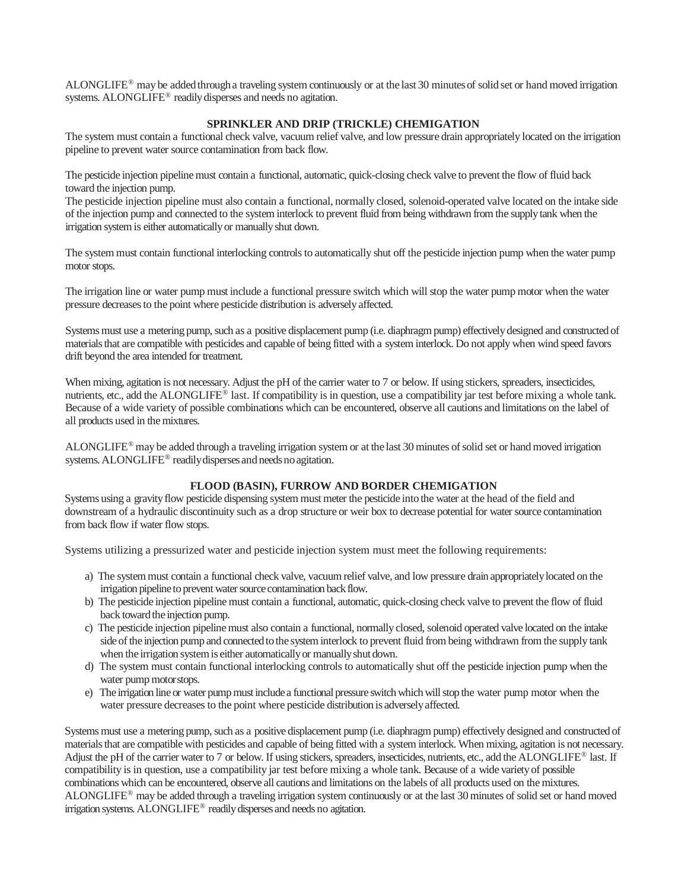ALONGLIFE<sup>®</sup> may be added through a traveling system continuously or at the last 30 minutes of solid set or hand moved irrigation systems. ALONGLIFE<sup>®</sup> readily disperses and needs no agitation.

#### **SPRINKLER AND DRIP (TRICKLE) CHEMIGATION**

The system must contain a functional check valve, vacuum relief valve, and low pressure drain appropriately located on the irrigation pipeline to prevent water source contamination from back flow.

The pesticide injection pipeline must contain a functional, automatic, quick-closing check valve to prevent the flow of fluid back toward the injection pump.

The pesticide injection pipeline must also contain a functional, normally closed, solenoid-operated valve located on the intake side of the injection pump and connected to the system interlock to prevent fluid from being withdrawn from the supply tank when the irrigation system is either automatically or manually shut down.

The system must contain functional interlocking controls to automatically shut off the pesticide injection pump when the water pump motor stops.

The irrigation line or water pump must include a functional pressure switch which will stop the water pump motor when the water pressure decreases to the point where pesticide distribution is adversely affected.

Systems must use a metering pump, such as a positive displacement pump (i.e. diaphragm pump) effectively designed and constructed of materials that are compatible with pesticides and capable of being fitted with a system interlock. Do not apply when wind speed favors drift beyond the area intended for treatment.

When mixing, agitation is not necessary. Adjust the pH of the carrier water to 7 or below. If using stickers, spreaders, insecticides, nutrients, etc., add the ALONGLIFE<sup>®</sup> last. If compatibility is in question, use a compatibility jar test before mixing a whole tank. Because of a wide variety of possible combinations which can be encountered, observe all cautions and limitations on the label of all products used in the mixtures.

ALONGLIFE<sup>®</sup> may be added through a traveling irrigation system or at the last 30 minutes of solid set or hand moved irrigation systems. ALONGLIFE<sup>®</sup> readily disperses and needs no agitation.

#### **FLOOD (BASIN), FURROW AND BORDER CHEMIGATION**

Systems using a gravity flow pesticide dispensing system must meter the pesticide into the water at the head of the field and downstream of a hydraulic discontinuity such as a drop structure or weir box to decrease potential for water source contamination from back flow if water flow stops.

Systems utilizing a pressurized water and pesticide injection system must meet the following requirements:

- a) The systemmust contain a functional check valve, vacuumrelief valve, and low pressure drain appropriatelylocated on the irrigation pipeline to prevent water source contamination back flow.
- b) The pesticide injection pipeline must contain a functional, automatic, quick-closing check valve to prevent the flow of fluid back toward the injection pump.
- c) The pesticide injection pipeline must also contain a functional, normally closed, solenoid operated valve located on the intake side of the injection pump and connected to the system interlock to prevent fluid from being withdrawn from the supply tank when the irrigation system is either automatically or manually shut down.
- d) The system must contain functional interlocking controls to automatically shut off the pesticide injection pump when the water pump motorstops.
- e) The irrigation line or water pump must include a functional pressure switch which will stop the water pump motor when the water pressure decreases to the point where pesticide distribution is adverselyaffected.

Systems must use a metering pump, such as a positive displacement pump (i.e. diaphragm pump) effectively designed and constructed of materials that are compatible with pesticides and capable of being fitted with a system interlock. When mixing, agitation is not necessary. Adjust the pH of the carrier water to 7 or below. If using stickers, spreaders, insecticides, nutrients, etc., add the ALONGLIFE® last. If compatibility is in question, use a compatibility jar test before mixing a whole tank. Because of a wide variety of possible combinations which can be encountered, observe all cautions and limitations on the labels of all products used on the mixtures. ALONGLIFE® may be added through a traveling irrigation system continuously or at the last 30 minutes of solid set or hand moved irrigation systems. ALONGLIFE® readily disperses and needs no agitation.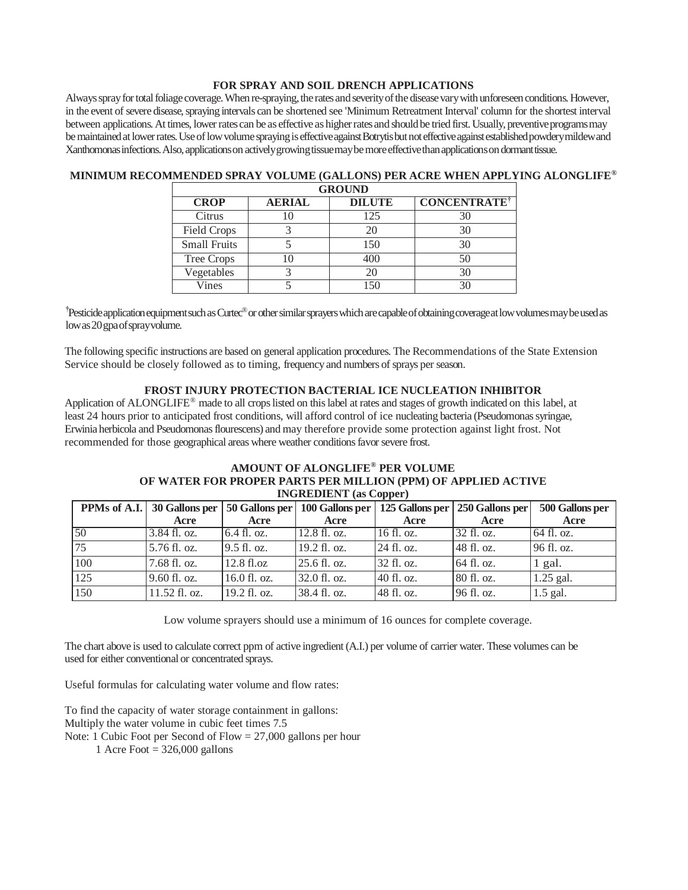#### **FOR SPRAY AND SOIL DRENCH APPLICATIONS**

Always spray for total foliage coverage. When re-spraying, the rates and severity of the disease vary with unforeseen conditions. However, in the event of severe disease, spraying intervals can be shortened see 'Minimum Retreatment Interval' column for the shortest interval between applications. At times, lower rates can be as effective as higher rates and should be tried first. Usually, preventive programs may be maintained at lower rates. Use of low volume spraying is effective against Botrytis but not effective against established powdery mildewand Xanthomonas infections. Also, applications on actively growing tissue may be more effective than applications on dormant tissue.

| <b>GROUND</b>       |               |               |                                |  |  |  |
|---------------------|---------------|---------------|--------------------------------|--|--|--|
| <b>CROP</b>         | <b>AERIAL</b> | <b>DILUTE</b> | <b>CONCENTRATE<sup>†</sup></b> |  |  |  |
| Citrus              |               | 125           |                                |  |  |  |
| <b>Field Crops</b>  |               | 20            | 30                             |  |  |  |
| <b>Small Fruits</b> |               | 150           |                                |  |  |  |
| <b>Tree Crops</b>   |               | 400           |                                |  |  |  |
| Vegetables          |               | 20            | 30                             |  |  |  |
| Vines               |               | 50            |                                |  |  |  |

## **MINIMUM RECOMMENDED SPRAY VOLUME (GALLONS) PER ACRE WHEN APPLYING ALONGLIFE®**

<sup>†</sup>Pesticide application equipment such as Curtec®or other similar sprayers which are capable of obtaining coverage at low volumes may be used as lowas20gpaofsprayvolume.

The following specific instructions are based on general application procedures. The Recommendations of the State Extension Service should be closely followed as to timing, frequency and numbers of sprays per season.

#### **FROST INJURY PROTECTION BACTERIAL ICE NUCLEATION INHIBITOR**

Application of ALONGLIFE® made to all crops listed on this label at rates and stages of growth indicated on this label, at least 24 hours prior to anticipated frost conditions, will afford control of ice nucleating bacteria (Pseudomonas syringae, Erwinia herbicola and Pseudomonas flourescens) and may therefore provide some protection against light frost. Not recommended for those geographical areas where weather conditions favor severe frost.

#### **AMOUNT OF ALONGLIFE® PER VOLUME OF WATER FOR PROPER PARTS PER MILLION (PPM) OF APPLIED ACTIVE INGREDIENT (as Copper)**

|                  | PPMs of A.I. 30 Gallons per |               | 50 Gallons per   100 Gallons per   125 Gallons per   250 Gallons per |            |              | 500 Gallons per |
|------------------|-----------------------------|---------------|----------------------------------------------------------------------|------------|--------------|-----------------|
|                  | Acre                        | Acre          | Acre                                                                 | Acre       | Acre         | Acre            |
| 50               | 3.84 fl. oz.                | 6.4 fl. oz.   | $12.8 \text{ fl. oz.}$                                               | 16 fl. oz. | $32$ fl. oz. | 64 fl. oz.      |
| 75               | 5.76 fl. oz.                | $9.5$ fl. oz. | 19.2 fl. oz.                                                         | 24 fl. oz. | 48 fl. oz.   | 96 fl. oz.      |
| 100              | 7.68 fl. oz.                | 12.8 fl.oz    | $25.6 \text{ fl. oz.}$                                               | 32 fl. oz. | 64 fl. oz.   | $1$ gal.        |
| $\overline{125}$ | 9.60 fl. oz.                | 16.0 fl. oz.  | $32.0$ fl. oz.                                                       | 40 fl. oz. | 80 fl. oz.   | $1.25$ gal.     |
| 150              | 11.52 fl. oz.               | 19.2 fl. oz.  | 38.4 fl. oz.                                                         | 48 fl. oz. | 96 fl. oz.   | $1.5$ gal.      |

Low volume sprayers should use a minimum of 16 ounces for complete coverage.

The chart above is used to calculate correct ppm of active ingredient (A.I.) per volume of carrier water. These volumes can be used for either conventional or concentrated sprays.

Useful formulas for calculating water volume and flow rates:

To find the capacity of water storage containment in gallons: Multiply the water volume in cubic feet times 7.5 Note: 1 Cubic Foot per Second of Flow = 27,000 gallons per hour

1 Acre Foot  $= 326,000$  gallons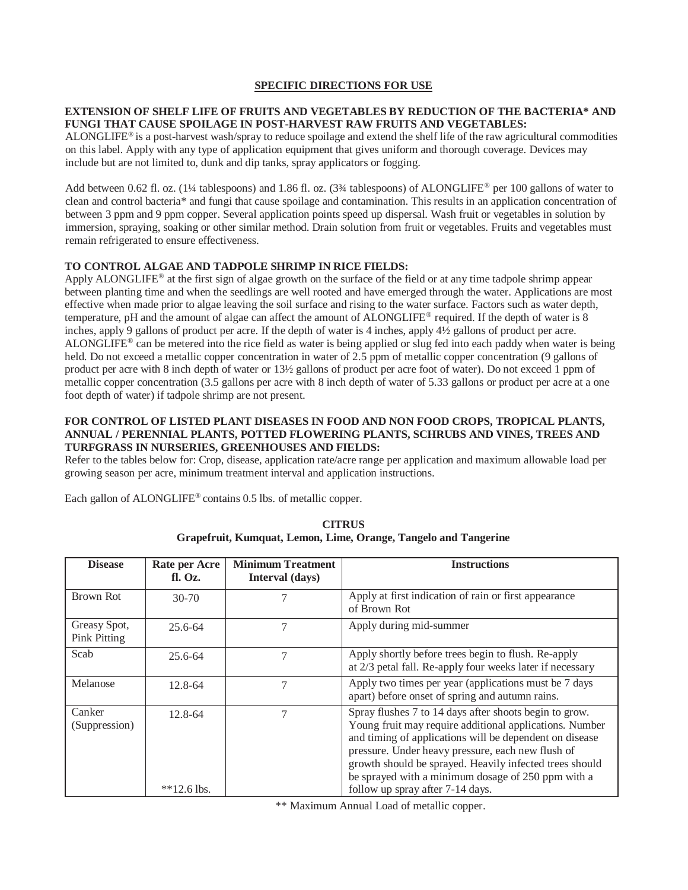#### **SPECIFIC DIRECTIONS FOR USE**

### **EXTENSION OF SHELF LIFE OF FRUITS AND VEGETABLES BY REDUCTION OF THE BACTERIA\* AND FUNGI THAT CAUSE SPOILAGE IN POST-HARVEST RAW FRUITS AND VEGETABLES:**

ALONGLIFE<sup>®</sup> is a post-harvest wash/spray to reduce spoilage and extend the shelf life of the raw agricultural commodities on this label. Apply with any type of application equipment that gives uniform and thorough coverage. Devices may include but are not limited to, dunk and dip tanks, spray applicators or fogging.

Add between 0.62 fl. oz. (1¼ tablespoons) and 1.86 fl. oz. (3¼ tablespoons) of ALONGLIFE® per 100 gallons of water to clean and control bacteria\* and fungi that cause spoilage and contamination. This results in an application concentration of between 3 ppm and 9 ppm copper. Several application points speed up dispersal. Wash fruit or vegetables in solution by immersion, spraying, soaking or other similar method. Drain solution from fruit or vegetables. Fruits and vegetables must remain refrigerated to ensure effectiveness.

#### **TO CONTROL ALGAE AND TADPOLE SHRIMP IN RICE FIELDS:**

Apply ALONGLIFE® at the first sign of algae growth on the surface of the field or at any time tadpole shrimp appear between planting time and when the seedlings are well rooted and have emerged through the water. Applications are most effective when made prior to algae leaving the soil surface and rising to the water surface. Factors such as water depth, temperature, pH and the amount of algae can affect the amount of ALONGLIFE® required. If the depth of water is 8 inches, apply 9 gallons of product per acre. If the depth of water is 4 inches, apply 4½ gallons of product per acre. ALONGLIFE® can be metered into the rice field as water is being applied or slug fed into each paddy when water is being held. Do not exceed a metallic copper concentration in water of 2.5 ppm of metallic copper concentration (9 gallons of product per acre with 8 inch depth of water or 13½ gallons of product per acre foot of water)*.* Do not exceed 1 ppm of metallic copper concentration (3.5 gallons per acre with 8 inch depth of water of 5.33 gallons or product per acre at a one foot depth of water) if tadpole shrimp are not present.

#### **FOR CONTROL OF LISTED PLANT DISEASES IN FOOD AND NON FOOD CROPS, TROPICAL PLANTS, ANNUAL / PERENNIAL PLANTS, POTTED FLOWERING PLANTS, SCHRUBS AND VINES, TREES AND TURFGRASS IN NURSERIES, GREENHOUSES AND FIELDS:**

Refer to the tables below for: Crop, disease, application rate/acre range per application and maximum allowable load per growing season per acre, minimum treatment interval and application instructions.

Each gallon of ALONGLIFE® contains 0.5 lbs. of metallic copper.

| <b>Disease</b>                      | Rate per Acre<br>f. Oz.  | <b>Minimum Treatment</b><br>Interval (days) | <b>Instructions</b>                                                                                                                                                                                                                                                                                                                                |
|-------------------------------------|--------------------------|---------------------------------------------|----------------------------------------------------------------------------------------------------------------------------------------------------------------------------------------------------------------------------------------------------------------------------------------------------------------------------------------------------|
| Brown Rot                           | $30-70$                  | 7                                           | Apply at first indication of rain or first appearance<br>of Brown Rot                                                                                                                                                                                                                                                                              |
| Greasy Spot,<br><b>Pink Pitting</b> | $25.6 - 64$              | 7                                           | Apply during mid-summer                                                                                                                                                                                                                                                                                                                            |
| Scab                                | 25.6-64                  | 7                                           | Apply shortly before trees begin to flush. Re-apply<br>at 2/3 petal fall. Re-apply four weeks later if necessary                                                                                                                                                                                                                                   |
| Melanose                            | $12.8 - 64$              | 7                                           | Apply two times per year (applications must be 7 days<br>apart) before onset of spring and autumn rains.                                                                                                                                                                                                                                           |
| Canker<br>(Suppression)             | 12.8-64                  | 7                                           | Spray flushes 7 to 14 days after shoots begin to grow.<br>Young fruit may require additional applications. Number<br>and timing of applications will be dependent on disease<br>pressure. Under heavy pressure, each new flush of<br>growth should be sprayed. Heavily infected trees should<br>be sprayed with a minimum dosage of 250 ppm with a |
|                                     | $*$ <sup>12.6</sup> lbs. |                                             | follow up spray after 7-14 days.                                                                                                                                                                                                                                                                                                                   |

**CITRUS Grapefruit, Kumquat, Lemon, Lime, Orange, Tangelo and Tangerine**

\*\* Maximum Annual Load of metallic copper.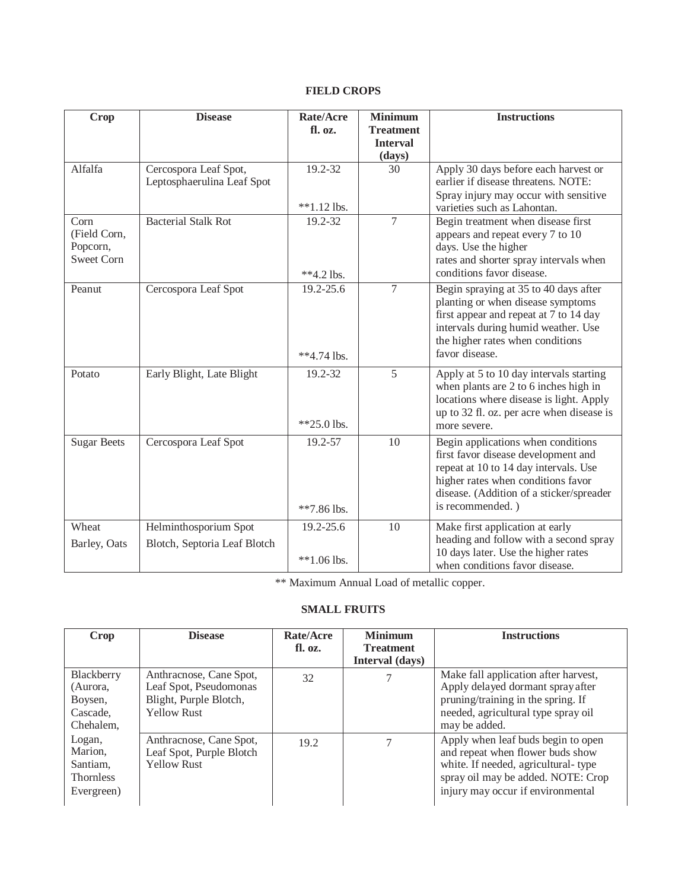# **FIELD CROPS**

| Crop                                          | <b>Disease</b>                                      | Rate/Acre<br>fl. oz.     | <b>Minimum</b><br><b>Treatment</b><br><b>Interval</b> | <b>Instructions</b>                                                                                                                                                                                                      |
|-----------------------------------------------|-----------------------------------------------------|--------------------------|-------------------------------------------------------|--------------------------------------------------------------------------------------------------------------------------------------------------------------------------------------------------------------------------|
|                                               |                                                     |                          | (days)                                                |                                                                                                                                                                                                                          |
| Alfalfa                                       | Cercospora Leaf Spot,<br>Leptosphaerulina Leaf Spot | 19.2-32<br>$**1.12$ lbs. | 30                                                    | Apply 30 days before each harvest or<br>earlier if disease threatens. NOTE:<br>Spray injury may occur with sensitive<br>varieties such as Lahontan.                                                                      |
| Corn                                          | <b>Bacterial Stalk Rot</b>                          | $19.2 - 32$              | $\overline{7}$                                        | Begin treatment when disease first                                                                                                                                                                                       |
| (Field Corn,<br>Popcorn,<br><b>Sweet Corn</b> |                                                     | $**4.2$ lbs.             |                                                       | appears and repeat every 7 to 10<br>days. Use the higher<br>rates and shorter spray intervals when<br>conditions favor disease.                                                                                          |
| Peanut                                        | Cercospora Leaf Spot                                | 19.2-25.6<br>**4.74 lbs. | $\overline{7}$                                        | Begin spraying at 35 to 40 days after<br>planting or when disease symptoms<br>first appear and repeat at 7 to 14 day<br>intervals during humid weather. Use<br>the higher rates when conditions<br>favor disease.        |
| Potato                                        | Early Blight, Late Blight                           | 19.2-32<br>$*25.0$ lbs.  | 5                                                     | Apply at 5 to 10 day intervals starting<br>when plants are 2 to 6 inches high in<br>locations where disease is light. Apply<br>up to 32 fl. oz. per acre when disease is<br>more severe.                                 |
| <b>Sugar Beets</b>                            | Cercospora Leaf Spot                                | 19.2-57<br>$**7.86$ lbs. | 10                                                    | Begin applications when conditions<br>first favor disease development and<br>repeat at 10 to 14 day intervals. Use<br>higher rates when conditions favor<br>disease. (Addition of a sticker/spreader<br>is recommended.) |
| Wheat                                         | Helminthosporium Spot                               | 19.2-25.6                | 10                                                    | Make first application at early                                                                                                                                                                                          |
| Barley, Oats                                  | Blotch, Septoria Leaf Blotch                        | $**1.06$ lbs.            |                                                       | heading and follow with a second spray<br>10 days later. Use the higher rates<br>when conditions favor disease.                                                                                                          |

\*\* Maximum Annual Load of metallic copper.

## **SMALL FRUITS**

| Crop                                                            | <b>Disease</b>                                                                                    | Rate/Acre<br>fl. oz. | <b>Minimum</b><br><b>Treatment</b><br>Interval (days) | <b>Instructions</b>                                                                                                                                                                      |
|-----------------------------------------------------------------|---------------------------------------------------------------------------------------------------|----------------------|-------------------------------------------------------|------------------------------------------------------------------------------------------------------------------------------------------------------------------------------------------|
| Blackberry<br>(Aurora,<br>Boysen,<br>Cascade,<br>Chehalem,      | Anthracnose, Cane Spot,<br>Leaf Spot, Pseudomonas<br>Blight, Purple Blotch,<br><b>Yellow Rust</b> | 32                   |                                                       | Make fall application after harvest,<br>Apply delayed dormant spray after<br>pruning/training in the spring. If<br>needed, agricultural type spray oil<br>may be added.                  |
| Logan,<br>Marion.<br>Santiam,<br><b>Thornless</b><br>Evergreen) | Anthracnose, Cane Spot,<br>Leaf Spot, Purple Blotch<br><b>Yellow Rust</b>                         | 19.2                 |                                                       | Apply when leaf buds begin to open<br>and repeat when flower buds show<br>white. If needed, agricultural-type<br>spray oil may be added. NOTE: Crop<br>injury may occur if environmental |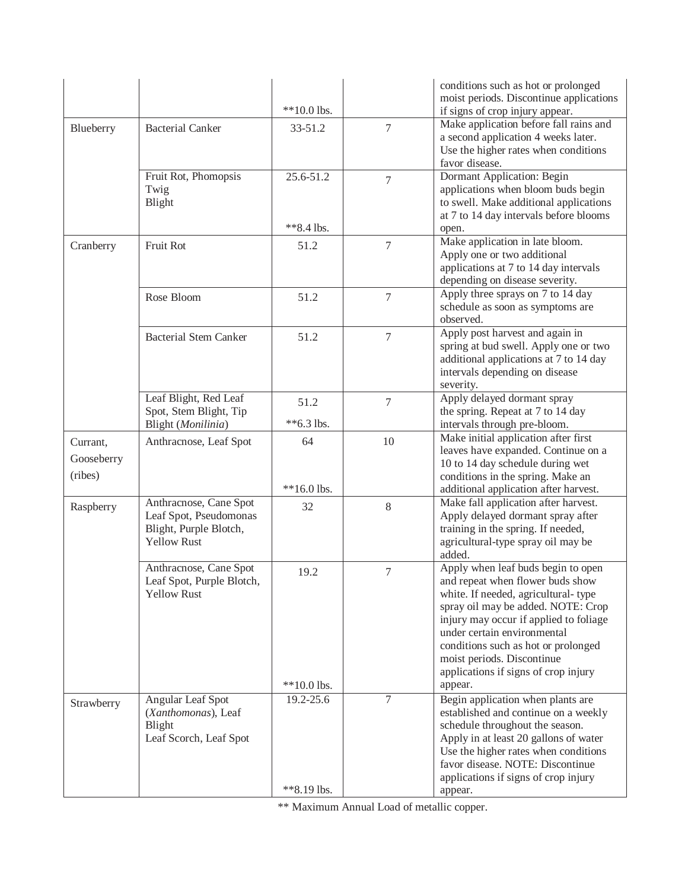|            |                                              |               |                | conditions such as hot or prolonged<br>moist periods. Discontinue applications  |
|------------|----------------------------------------------|---------------|----------------|---------------------------------------------------------------------------------|
|            |                                              | $**10.0$ lbs. |                | if signs of crop injury appear.                                                 |
| Blueberry  | <b>Bacterial Canker</b>                      | $33 - 51.2$   | 7              | Make application before fall rains and                                          |
|            |                                              |               |                | a second application 4 weeks later.                                             |
|            |                                              |               |                | Use the higher rates when conditions<br>favor disease.                          |
|            | Fruit Rot, Phomopsis                         | 25.6-51.2     | 7              | Dormant Application: Begin                                                      |
|            | Twig                                         |               |                | applications when bloom buds begin                                              |
|            | Blight                                       |               |                | to swell. Make additional applications                                          |
|            |                                              | **8.4 lbs.    |                | at 7 to 14 day intervals before blooms<br>open.                                 |
| Cranberry  | Fruit Rot                                    | 51.2          | $\overline{7}$ | Make application in late bloom.                                                 |
|            |                                              |               |                | Apply one or two additional                                                     |
|            |                                              |               |                | applications at 7 to 14 day intervals                                           |
|            |                                              |               |                | depending on disease severity.<br>Apply three sprays on 7 to 14 day             |
|            | Rose Bloom                                   | 51.2          | 7              | schedule as soon as symptoms are                                                |
|            |                                              |               |                | observed.                                                                       |
|            | <b>Bacterial Stem Canker</b>                 | 51.2          | 7              | Apply post harvest and again in                                                 |
|            |                                              |               |                | spring at bud swell. Apply one or two<br>additional applications at 7 to 14 day |
|            |                                              |               |                | intervals depending on disease                                                  |
|            |                                              |               |                | severity.                                                                       |
|            | Leaf Blight, Red Leaf                        | 51.2          | 7              | Apply delayed dormant spray                                                     |
|            | Spot, Stem Blight, Tip<br>Blight (Monilinia) | $*$ 6.3 lbs.  |                | the spring. Repeat at 7 to 14 day<br>intervals through pre-bloom.               |
|            |                                              | 64            | 10             | Make initial application after first                                            |
| Currant,   | Anthracnose, Leaf Spot                       |               |                | leaves have expanded. Continue on a                                             |
| Gooseberry |                                              |               |                | 10 to 14 day schedule during wet                                                |
| (ribes)    |                                              | $**16.0$ lbs. |                | conditions in the spring. Make an<br>additional application after harvest.      |
|            | Anthracnose, Cane Spot                       |               | $8\,$          | Make fall application after harvest.                                            |
| Raspberry  | Leaf Spot, Pseudomonas                       | 32            |                | Apply delayed dormant spray after                                               |
|            | Blight, Purple Blotch,                       |               |                | training in the spring. If needed,                                              |
|            | <b>Yellow Rust</b>                           |               |                | agricultural-type spray oil may be                                              |
|            | Anthracnose, Cane Spot                       |               | $\overline{7}$ | added.<br>Apply when leaf buds begin to open                                    |
|            | Leaf Spot, Purple Blotch,                    | 19.2          |                | and repeat when flower buds show                                                |
|            | <b>Yellow Rust</b>                           |               |                | white. If needed, agricultural-type                                             |
|            |                                              |               |                | spray oil may be added. NOTE: Crop                                              |
|            |                                              |               |                | injury may occur if applied to foliage<br>under certain environmental           |
|            |                                              |               |                | conditions such as hot or prolonged                                             |
|            |                                              |               |                | moist periods. Discontinue                                                      |
|            |                                              |               |                | applications if signs of crop injury                                            |
|            |                                              | $**10.0$ lbs. |                | appear.                                                                         |
| Strawberry | Angular Leaf Spot<br>(Xanthomonas), Leaf     | 19.2-25.6     | 7              | Begin application when plants are<br>established and continue on a weekly       |
|            | Blight                                       |               |                | schedule throughout the season.                                                 |
|            | Leaf Scorch, Leaf Spot                       |               |                | Apply in at least 20 gallons of water                                           |
|            |                                              |               |                | Use the higher rates when conditions                                            |
|            |                                              |               |                | favor disease. NOTE: Discontinue<br>applications if signs of crop injury        |
|            |                                              | **8.19 lbs.   |                | appear.                                                                         |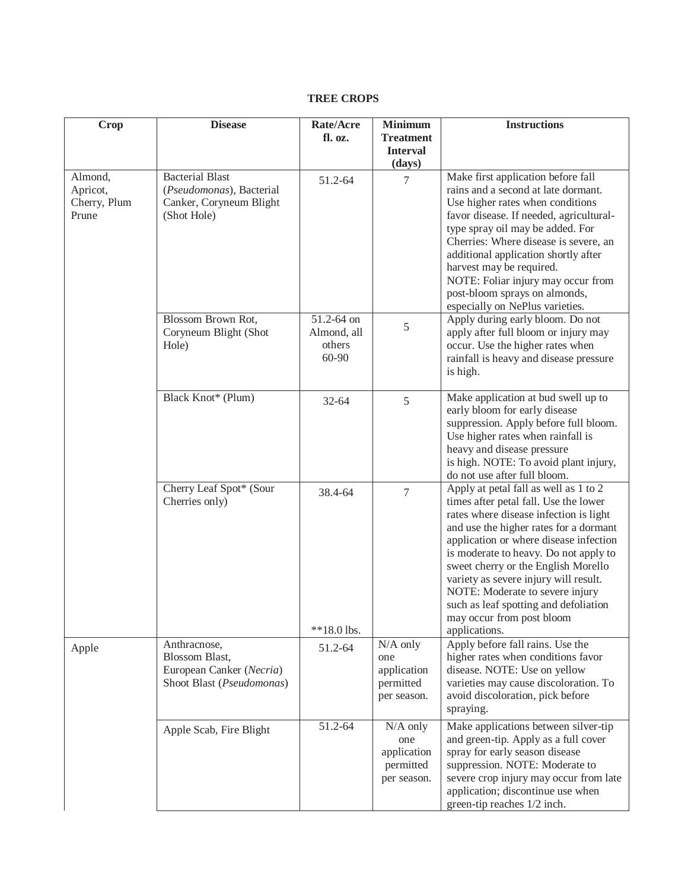## **TREE CROPS**

| <b>Crop</b>                                  | <b>Disease</b>                                                                               | Rate/Acre                                    | <b>Minimum</b>                                               | <b>Instructions</b>                                                                                                                                                                                                                                                                                                                                                                                                                                             |
|----------------------------------------------|----------------------------------------------------------------------------------------------|----------------------------------------------|--------------------------------------------------------------|-----------------------------------------------------------------------------------------------------------------------------------------------------------------------------------------------------------------------------------------------------------------------------------------------------------------------------------------------------------------------------------------------------------------------------------------------------------------|
|                                              |                                                                                              | fl. oz.                                      | <b>Treatment</b><br><b>Interval</b>                          |                                                                                                                                                                                                                                                                                                                                                                                                                                                                 |
|                                              |                                                                                              |                                              | (days)                                                       |                                                                                                                                                                                                                                                                                                                                                                                                                                                                 |
| Almond,<br>Apricot,<br>Cherry, Plum<br>Prune | <b>Bacterial Blast</b><br>(Pseudomonas), Bacterial<br>Canker, Coryneum Blight<br>(Shot Hole) | 51.2-64                                      | 7                                                            | Make first application before fall<br>rains and a second at late dormant.<br>Use higher rates when conditions<br>favor disease. If needed, agricultural-<br>type spray oil may be added. For<br>Cherries: Where disease is severe, an<br>additional application shortly after<br>harvest may be required.<br>NOTE: Foliar injury may occur from<br>post-bloom sprays on almonds,<br>especially on NePlus varieties.                                             |
|                                              | Blossom Brown Rot,<br>Coryneum Blight (Shot<br>Hole)                                         | 51.2-64 on<br>Almond, all<br>others<br>60-90 | 5                                                            | Apply during early bloom. Do not<br>apply after full bloom or injury may<br>occur. Use the higher rates when<br>rainfall is heavy and disease pressure<br>is high.                                                                                                                                                                                                                                                                                              |
|                                              | Black Knot* (Plum)                                                                           | 32-64                                        | 5                                                            | Make application at bud swell up to<br>early bloom for early disease<br>suppression. Apply before full bloom.<br>Use higher rates when rainfall is<br>heavy and disease pressure<br>is high. NOTE: To avoid plant injury,<br>do not use after full bloom.                                                                                                                                                                                                       |
|                                              | Cherry Leaf Spot* (Sour<br>Cherries only)                                                    | 38.4-64<br>**18.0 lbs.                       | $\overline{7}$                                               | Apply at petal fall as well as 1 to 2<br>times after petal fall. Use the lower<br>rates where disease infection is light<br>and use the higher rates for a dormant<br>application or where disease infection<br>is moderate to heavy. Do not apply to<br>sweet cherry or the English Morello<br>variety as severe injury will result.<br>NOTE: Moderate to severe injury<br>such as leaf spotting and defoliation<br>may occur from post bloom<br>applications. |
| Apple                                        | Anthracnose,<br>Blossom Blast,<br>European Canker (Necria)<br>Shoot Blast (Pseudomonas)      | 51.2-64                                      | $N/A$ only<br>one<br>application<br>permitted<br>per season. | Apply before fall rains. Use the<br>higher rates when conditions favor<br>disease. NOTE: Use on yellow<br>varieties may cause discoloration. To<br>avoid discoloration, pick before<br>spraying.                                                                                                                                                                                                                                                                |
|                                              | Apple Scab, Fire Blight                                                                      | 51.2-64                                      | $N/A$ only<br>one<br>application<br>permitted<br>per season. | Make applications between silver-tip<br>and green-tip. Apply as a full cover<br>spray for early season disease<br>suppression. NOTE: Moderate to<br>severe crop injury may occur from late<br>application; discontinue use when<br>green-tip reaches 1/2 inch.                                                                                                                                                                                                  |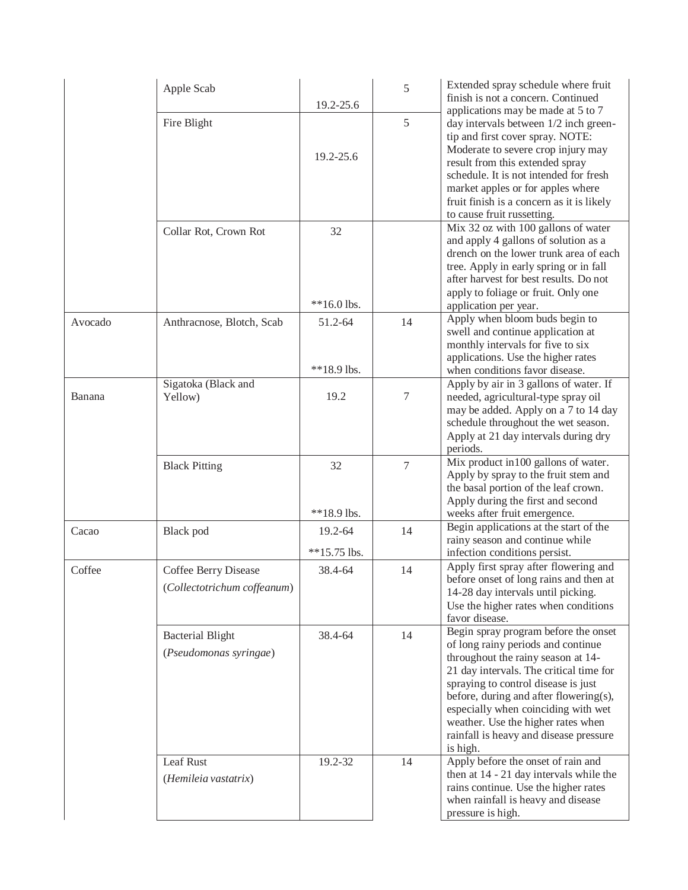|         | Apple Scab                                          | 19.2-25.6                 | 5      | Extended spray schedule where fruit<br>finish is not a concern. Continued<br>applications may be made at 5 to 7                                                                                                                                                                                                                                                                 |
|---------|-----------------------------------------------------|---------------------------|--------|---------------------------------------------------------------------------------------------------------------------------------------------------------------------------------------------------------------------------------------------------------------------------------------------------------------------------------------------------------------------------------|
|         | Fire Blight                                         |                           | 5      | day intervals between 1/2 inch green-<br>tip and first cover spray. NOTE:                                                                                                                                                                                                                                                                                                       |
|         |                                                     | 19.2-25.6                 |        | Moderate to severe crop injury may<br>result from this extended spray<br>schedule. It is not intended for fresh<br>market apples or for apples where<br>fruit finish is a concern as it is likely<br>to cause fruit russetting.                                                                                                                                                 |
|         | Collar Rot, Crown Rot                               | 32                        |        | Mix 32 oz with 100 gallons of water<br>and apply 4 gallons of solution as a<br>drench on the lower trunk area of each<br>tree. Apply in early spring or in fall<br>after harvest for best results. Do not<br>apply to foliage or fruit. Only one                                                                                                                                |
|         |                                                     | $**16.0$ lbs.             |        | application per year.                                                                                                                                                                                                                                                                                                                                                           |
| Avocado | Anthracnose, Blotch, Scab                           | 51.2-64                   | 14     | Apply when bloom buds begin to<br>swell and continue application at<br>monthly intervals for five to six<br>applications. Use the higher rates                                                                                                                                                                                                                                  |
|         |                                                     | **18.9 lbs.               |        | when conditions favor disease.                                                                                                                                                                                                                                                                                                                                                  |
| Banana  | Sigatoka (Black and<br>Yellow)                      | 19.2                      | 7      | Apply by air in 3 gallons of water. If<br>needed, agricultural-type spray oil<br>may be added. Apply on a 7 to 14 day<br>schedule throughout the wet season.<br>Apply at 21 day intervals during dry<br>periods.                                                                                                                                                                |
|         | <b>Black Pitting</b>                                | 32<br>**18.9 lbs.         | $\tau$ | Mix product in 100 gallons of water.<br>Apply by spray to the fruit stem and<br>the basal portion of the leaf crown.<br>Apply during the first and second                                                                                                                                                                                                                       |
|         |                                                     |                           |        | weeks after fruit emergence.<br>Begin applications at the start of the                                                                                                                                                                                                                                                                                                          |
| Cacao   | Black pod                                           | 19.2-64<br>$**15.75$ lbs. | 14     | rainy season and continue while<br>infection conditions persist.                                                                                                                                                                                                                                                                                                                |
| Coffee  | Coffee Berry Disease<br>(Collectotrichum coffeanum) | 38.4-64                   | 14     | Apply first spray after flowering and<br>before onset of long rains and then at<br>14-28 day intervals until picking.<br>Use the higher rates when conditions<br>favor disease.                                                                                                                                                                                                 |
|         | <b>Bacterial Blight</b><br>(Pseudomonas syringae)   | 38.4-64                   | 14     | Begin spray program before the onset<br>of long rainy periods and continue<br>throughout the rainy season at 14-<br>21 day intervals. The critical time for<br>spraying to control disease is just<br>before, during and after flowering(s),<br>especially when coinciding with wet<br>weather. Use the higher rates when<br>rainfall is heavy and disease pressure<br>is high. |
|         | Leaf Rust<br>(Hemileia vastatrix)                   | 19.2-32                   | 14     | Apply before the onset of rain and<br>then at 14 - 21 day intervals while the<br>rains continue. Use the higher rates<br>when rainfall is heavy and disease<br>pressure is high.                                                                                                                                                                                                |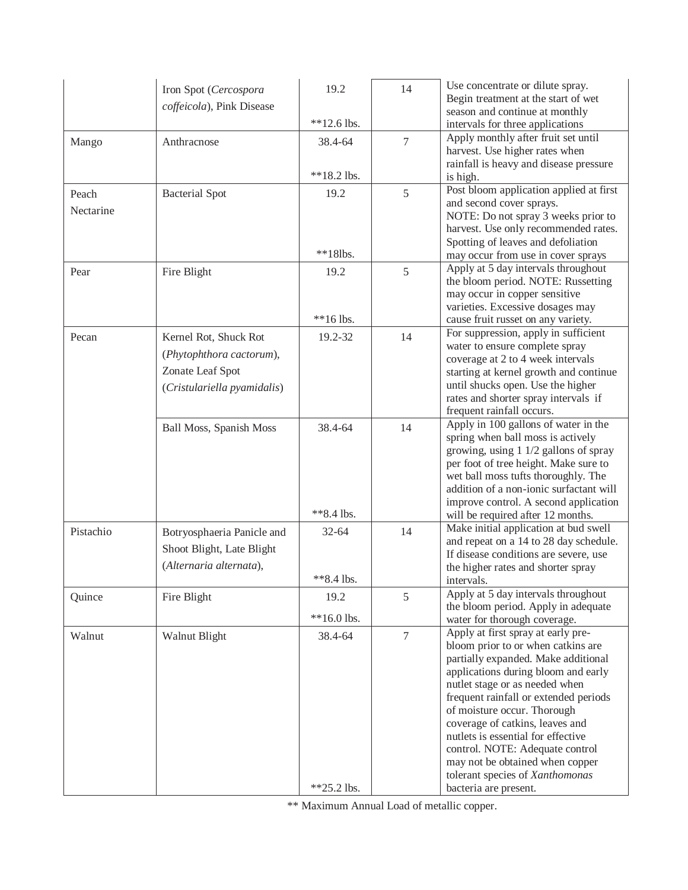|           | Iron Spot (Cercospora<br>coffeicola), Pink Disease | 19.2<br>$**12.6$ lbs. | 14             | Use concentrate or dilute spray.<br>Begin treatment at the start of wet<br>season and continue at monthly |
|-----------|----------------------------------------------------|-----------------------|----------------|-----------------------------------------------------------------------------------------------------------|
|           |                                                    |                       |                | intervals for three applications<br>Apply monthly after fruit set until                                   |
| Mango     | Anthracnose                                        | 38.4-64               | $\overline{7}$ | harvest. Use higher rates when                                                                            |
|           |                                                    |                       |                | rainfall is heavy and disease pressure                                                                    |
|           |                                                    | **18.2 lbs.           |                | is high.                                                                                                  |
| Peach     | <b>Bacterial Spot</b>                              | 19.2                  | 5              | Post bloom application applied at first                                                                   |
| Nectarine |                                                    |                       |                | and second cover sprays.                                                                                  |
|           |                                                    |                       |                | NOTE: Do not spray 3 weeks prior to                                                                       |
|           |                                                    |                       |                | harvest. Use only recommended rates.<br>Spotting of leaves and defoliation                                |
|           |                                                    | $**18$ lbs.           |                | may occur from use in cover sprays                                                                        |
| Pear      |                                                    | 19.2                  | 5              | Apply at 5 day intervals throughout                                                                       |
|           | Fire Blight                                        |                       |                | the bloom period. NOTE: Russetting                                                                        |
|           |                                                    |                       |                | may occur in copper sensitive                                                                             |
|           |                                                    |                       |                | varieties. Excessive dosages may                                                                          |
|           |                                                    | $**16$ lbs.           |                | cause fruit russet on any variety.                                                                        |
| Pecan     | Kernel Rot, Shuck Rot                              | 19.2-32               | 14             | For suppression, apply in sufficient<br>water to ensure complete spray                                    |
|           | (Phytophthora cactorum),                           |                       |                | coverage at 2 to 4 week intervals                                                                         |
|           | Zonate Leaf Spot                                   |                       |                | starting at kernel growth and continue                                                                    |
|           | (Cristulariella pyamidalis)                        |                       |                | until shucks open. Use the higher                                                                         |
|           |                                                    |                       |                | rates and shorter spray intervals if                                                                      |
|           |                                                    |                       |                | frequent rainfall occurs.                                                                                 |
|           | Ball Moss, Spanish Moss                            | 38.4-64               | 14             | Apply in 100 gallons of water in the                                                                      |
|           |                                                    |                       |                | spring when ball moss is actively                                                                         |
|           |                                                    |                       |                | growing, using 1 1/2 gallons of spray                                                                     |
|           |                                                    |                       |                | per foot of tree height. Make sure to<br>wet ball moss tufts thoroughly. The                              |
|           |                                                    |                       |                | addition of a non-ionic surfactant will                                                                   |
|           |                                                    |                       |                | improve control. A second application                                                                     |
|           |                                                    | **8.4 lbs.            |                | will be required after 12 months.                                                                         |
| Pistachio | Botryosphaeria Panicle and                         | $32 - 64$             | 14             | Make initial application at bud swell                                                                     |
|           | Shoot Blight, Late Blight                          |                       |                | and repeat on a 14 to 28 day schedule.                                                                    |
|           | (Alternaria alternata),                            |                       |                | If disease conditions are severe, use                                                                     |
|           |                                                    | $*8.4$ lbs.           |                | the higher rates and shorter spray<br>intervals.                                                          |
|           |                                                    |                       |                | Apply at 5 day intervals throughout                                                                       |
| Quince    | Fire Blight                                        | 19.2                  | 5              | the bloom period. Apply in adequate                                                                       |
|           |                                                    | $**16.0$ lbs.         |                | water for thorough coverage.                                                                              |
| Walnut    | Walnut Blight                                      | 38.4-64               | $\overline{7}$ | Apply at first spray at early pre-                                                                        |
|           |                                                    |                       |                | bloom prior to or when catkins are                                                                        |
|           |                                                    |                       |                | partially expanded. Make additional                                                                       |
|           |                                                    |                       |                | applications during bloom and early                                                                       |
|           |                                                    |                       |                | nutlet stage or as needed when<br>frequent rainfall or extended periods                                   |
|           |                                                    |                       |                | of moisture occur. Thorough                                                                               |
|           |                                                    |                       |                | coverage of catkins, leaves and                                                                           |
|           |                                                    |                       |                | nutlets is essential for effective                                                                        |
|           |                                                    |                       |                | control. NOTE: Adequate control                                                                           |
|           |                                                    |                       |                | may not be obtained when copper                                                                           |
|           |                                                    |                       |                | tolerant species of Xanthomonas                                                                           |
|           |                                                    | **25.2 lbs.           |                | bacteria are present.                                                                                     |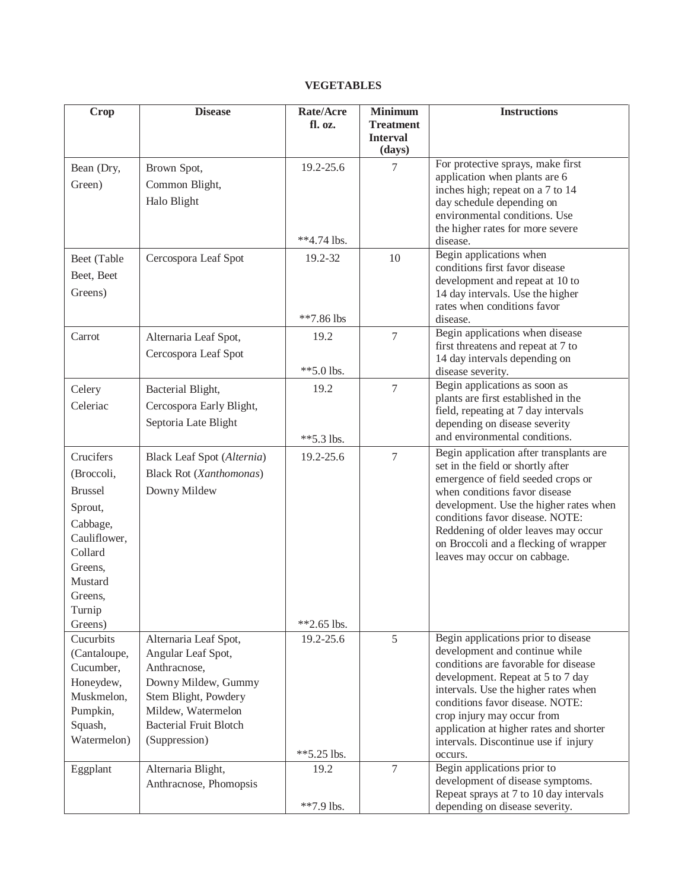### **VEGETABLES**

| Crop              | <b>Disease</b>                 | Rate/Acre<br>fl. oz. | <b>Minimum</b><br><b>Treatment</b> | <b>Instructions</b>                                                        |
|-------------------|--------------------------------|----------------------|------------------------------------|----------------------------------------------------------------------------|
|                   |                                |                      | <b>Interval</b><br>(days)          |                                                                            |
| Bean (Dry,        | Brown Spot,                    | 19.2-25.6            | $\tau$                             | For protective sprays, make first                                          |
| Green)            | Common Blight,                 |                      |                                    | application when plants are 6<br>inches high; repeat on a 7 to 14          |
|                   | Halo Blight                    |                      |                                    | day schedule depending on                                                  |
|                   |                                |                      |                                    | environmental conditions. Use                                              |
|                   |                                |                      |                                    | the higher rates for more severe                                           |
|                   |                                | $**4.74$ lbs.        |                                    | disease.                                                                   |
| Beet (Table       | Cercospora Leaf Spot           | 19.2-32              | 10                                 | Begin applications when<br>conditions first favor disease                  |
| Beet, Beet        |                                |                      |                                    | development and repeat at 10 to                                            |
| Greens)           |                                |                      |                                    | 14 day intervals. Use the higher                                           |
|                   |                                |                      |                                    | rates when conditions favor                                                |
|                   |                                | **7.86 lbs           |                                    | disease.                                                                   |
| Carrot            | Alternaria Leaf Spot,          | 19.2                 | 7                                  | Begin applications when disease                                            |
|                   | Cercospora Leaf Spot           |                      |                                    | first threatens and repeat at 7 to<br>14 day intervals depending on        |
|                   |                                | $**5.0$ lbs.         |                                    | disease severity.                                                          |
| Celery            | Bacterial Blight,              | 19.2                 | $\tau$                             | Begin applications as soon as                                              |
| Celeriac          | Cercospora Early Blight,       |                      |                                    | plants are first established in the                                        |
|                   |                                |                      |                                    | field, repeating at 7 day intervals                                        |
|                   | Septoria Late Blight           |                      |                                    | depending on disease severity<br>and environmental conditions.             |
|                   |                                | $**5.3$ lbs.         |                                    | Begin application after transplants are                                    |
| Crucifers         | Black Leaf Spot (Alternia)     | 19.2-25.6            | $\tau$                             | set in the field or shortly after                                          |
| (Broccoli,        | <b>Black Rot (Xanthomonas)</b> |                      |                                    | emergence of field seeded crops or                                         |
| <b>Brussel</b>    | Downy Mildew                   |                      |                                    | when conditions favor disease                                              |
| Sprout,           |                                |                      |                                    | development. Use the higher rates when                                     |
| Cabbage,          |                                |                      |                                    | conditions favor disease. NOTE:<br>Reddening of older leaves may occur     |
| Cauliflower,      |                                |                      |                                    | on Broccoli and a flecking of wrapper                                      |
| Collard           |                                |                      |                                    | leaves may occur on cabbage.                                               |
| Greens,           |                                |                      |                                    |                                                                            |
| Mustard           |                                |                      |                                    |                                                                            |
| Greens,           |                                |                      |                                    |                                                                            |
| Turnip<br>Greens) |                                | $*2.65$ lbs.         |                                    |                                                                            |
| Cucurbits         | Alternaria Leaf Spot,          | 19.2-25.6            | 5                                  | Begin applications prior to disease                                        |
| (Cantaloupe,      | Angular Leaf Spot,             |                      |                                    | development and continue while                                             |
| Cucumber,         | Anthracnose,                   |                      |                                    | conditions are favorable for disease                                       |
| Honeydew,         | Downy Mildew, Gummy            |                      |                                    | development. Repeat at 5 to 7 day                                          |
| Muskmelon,        | Stem Blight, Powdery           |                      |                                    | intervals. Use the higher rates when<br>conditions favor disease. NOTE:    |
| Pumpkin,          | Mildew, Watermelon             |                      |                                    | crop injury may occur from                                                 |
| Squash,           | <b>Bacterial Fruit Blotch</b>  |                      |                                    | application at higher rates and shorter                                    |
| Watermelon)       | (Suppression)                  |                      |                                    | intervals. Discontinue use if injury                                       |
|                   |                                | $*5.25$ lbs.         |                                    | occurs.                                                                    |
| Eggplant          | Alternaria Blight,             | 19.2                 | $\overline{7}$                     | Begin applications prior to                                                |
|                   | Anthracnose, Phomopsis         |                      |                                    | development of disease symptoms.<br>Repeat sprays at 7 to 10 day intervals |
|                   |                                | **7.9 lbs.           |                                    | depending on disease severity.                                             |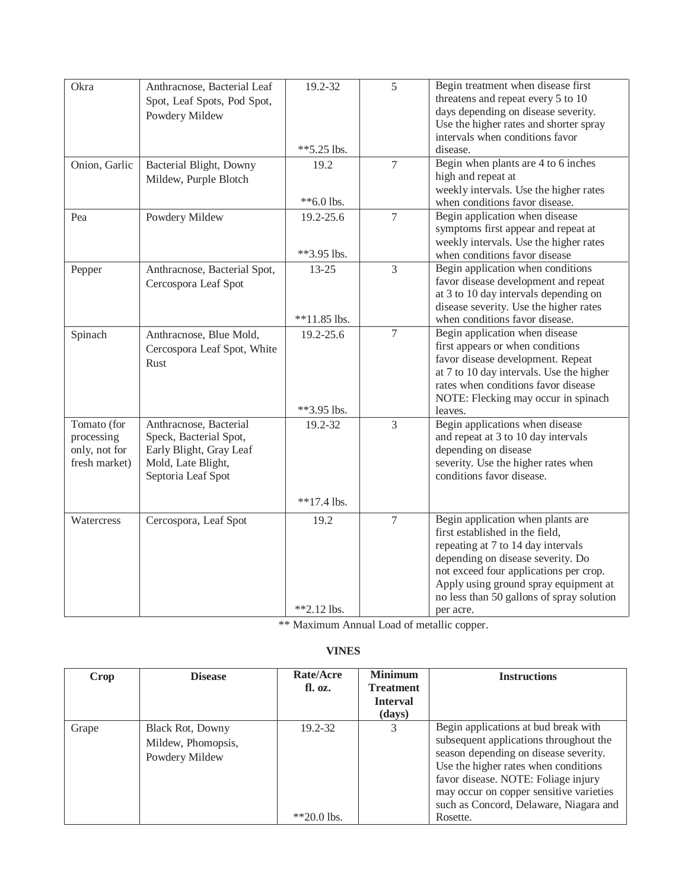| Okra          | Anthracnose, Bacterial Leaf  | 19.2-32        | 5              | Begin treatment when disease first                                            |
|---------------|------------------------------|----------------|----------------|-------------------------------------------------------------------------------|
|               | Spot, Leaf Spots, Pod Spot,  |                |                | threatens and repeat every 5 to 10                                            |
|               | Powdery Mildew               |                |                | days depending on disease severity.                                           |
|               |                              |                |                | Use the higher rates and shorter spray                                        |
|               |                              |                |                | intervals when conditions favor<br>disease.                                   |
|               |                              | **5.25 lbs.    |                |                                                                               |
| Onion, Garlic | Bacterial Blight, Downy      | 19.2           | $\overline{7}$ | Begin when plants are 4 to 6 inches<br>high and repeat at                     |
|               | Mildew, Purple Blotch        |                |                | weekly intervals. Use the higher rates                                        |
|               |                              | $*$ 6.0 lbs.   |                | when conditions favor disease.                                                |
| Pea           | Powdery Mildew               | 19.2-25.6      | $\overline{7}$ | Begin application when disease                                                |
|               |                              |                |                | symptoms first appear and repeat at                                           |
|               |                              |                |                | weekly intervals. Use the higher rates                                        |
|               |                              | **3.95 lbs.    |                | when conditions favor disease                                                 |
| Pepper        | Anthracnose, Bacterial Spot, | $13 - 25$      | $\overline{3}$ | Begin application when conditions                                             |
|               | Cercospora Leaf Spot         |                |                | favor disease development and repeat                                          |
|               |                              |                |                | at 3 to 10 day intervals depending on                                         |
|               |                              |                |                | disease severity. Use the higher rates                                        |
|               |                              | $**11.85$ lbs. |                | when conditions favor disease.                                                |
| Spinach       | Anthracnose, Blue Mold,      | 19.2-25.6      | $\overline{7}$ | Begin application when disease                                                |
|               | Cercospora Leaf Spot, White  |                |                | first appears or when conditions                                              |
|               | Rust                         |                |                | favor disease development. Repeat<br>at 7 to 10 day intervals. Use the higher |
|               |                              |                |                | rates when conditions favor disease                                           |
|               |                              |                |                | NOTE: Flecking may occur in spinach                                           |
|               |                              | **3.95 lbs.    |                | leaves.                                                                       |
| Tomato (for   | Anthracnose, Bacterial       | 19.2-32        | $\overline{3}$ | Begin applications when disease                                               |
| processing    | Speck, Bacterial Spot,       |                |                | and repeat at 3 to 10 day intervals                                           |
| only, not for | Early Blight, Gray Leaf      |                |                | depending on disease                                                          |
| fresh market) | Mold, Late Blight,           |                |                | severity. Use the higher rates when                                           |
|               | Septoria Leaf Spot           |                |                | conditions favor disease.                                                     |
|               |                              |                |                |                                                                               |
|               |                              | $**17.4$ lbs.  |                |                                                                               |
| Watercress    | Cercospora, Leaf Spot        | 19.2           | $\overline{7}$ | Begin application when plants are                                             |
|               |                              |                |                | first established in the field,                                               |
|               |                              |                |                | repeating at 7 to 14 day intervals                                            |
|               |                              |                |                | depending on disease severity. Do                                             |
|               |                              |                |                | not exceed four applications per crop.                                        |
|               |                              |                |                | Apply using ground spray equipment at                                         |
|               |                              | $*2.12$ lbs.   |                | no less than 50 gallons of spray solution<br>per acre.                        |
|               |                              |                |                |                                                                               |

# **VINES**

| Crop  | <b>Disease</b>                                                  | Rate/Acre<br>fl. oz.    | <b>Minimum</b><br><b>Treatment</b><br><b>Interval</b><br>(days) | <b>Instructions</b>                                                                                                                                                                                                                                                                                     |
|-------|-----------------------------------------------------------------|-------------------------|-----------------------------------------------------------------|---------------------------------------------------------------------------------------------------------------------------------------------------------------------------------------------------------------------------------------------------------------------------------------------------------|
| Grape | <b>Black Rot, Downy</b><br>Mildew, Phomopsis,<br>Powdery Mildew | 19.2-32<br>$*20.0$ lbs. | 3                                                               | Begin applications at bud break with<br>subsequent applications throughout the<br>season depending on disease severity.<br>Use the higher rates when conditions<br>favor disease. NOTE: Foliage injury<br>may occur on copper sensitive varieties<br>such as Concord, Delaware, Niagara and<br>Rosette. |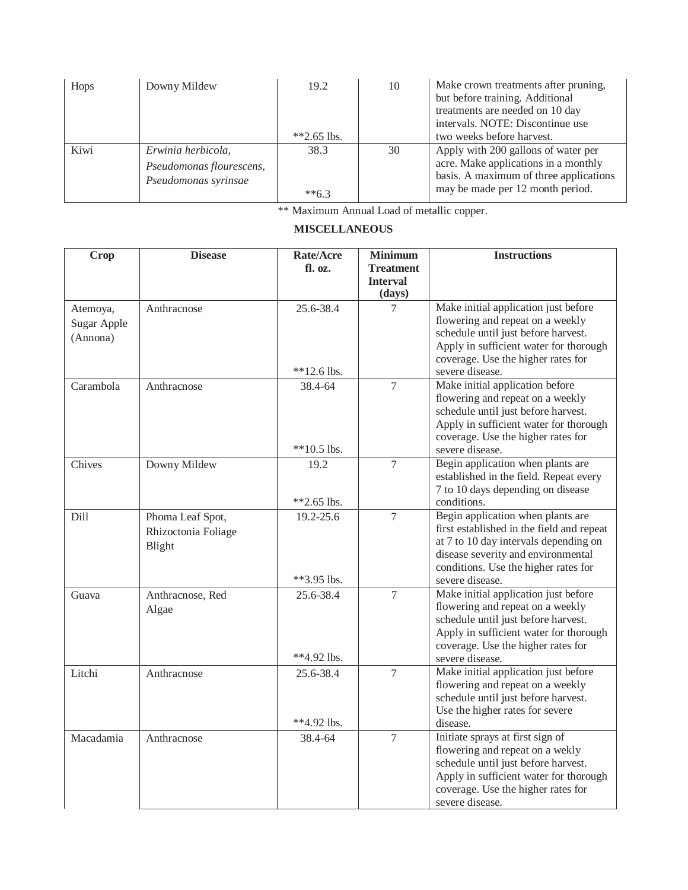| Hops | Downy Mildew                                                           | 19.2<br>$*2.65$ lbs. | 10 | Make crown treatments after pruning,<br>but before training. Additional<br>treatments are needed on 10 day<br>intervals. NOTE: Discontinue use<br>two weeks before harvest. |
|------|------------------------------------------------------------------------|----------------------|----|-----------------------------------------------------------------------------------------------------------------------------------------------------------------------------|
| Kiwi | Erwinia herbicola,<br>Pseudomonas flourescens,<br>Pseudomonas syrinsae | 38.3<br>$**6.3$      | 30 | Apply with 200 gallons of water per<br>acre. Make applications in a monthly<br>basis. A maximum of three applications<br>may be made per 12 month period.                   |

# **MISCELLANEOUS**

| <b>Crop</b>                         | <b>Disease</b>                                    | Rate/Acre<br>fl. oz.       | <b>Minimum</b><br><b>Treatment</b><br><b>Interval</b><br>(days) | <b>Instructions</b>                                                                                                                                                                                                      |
|-------------------------------------|---------------------------------------------------|----------------------------|-----------------------------------------------------------------|--------------------------------------------------------------------------------------------------------------------------------------------------------------------------------------------------------------------------|
| Atemoya,<br>Sugar Apple<br>(Annona) | Anthracnose                                       | 25.6-38.4<br>$**12.6$ lbs. | 7                                                               | Make initial application just before<br>flowering and repeat on a weekly<br>schedule until just before harvest.<br>Apply in sufficient water for thorough<br>coverage. Use the higher rates for<br>severe disease.       |
| Carambola                           | Anthracnose                                       | 38.4-64<br>$**10.5$ lbs.   | $\overline{7}$                                                  | Make initial application before<br>flowering and repeat on a weekly<br>schedule until just before harvest.<br>Apply in sufficient water for thorough<br>coverage. Use the higher rates for<br>severe disease.            |
| Chives                              | Downy Mildew                                      | 19.2<br>$**2.65$ lbs.      | 7                                                               | Begin application when plants are<br>established in the field. Repeat every<br>7 to 10 days depending on disease<br>conditions.                                                                                          |
| Dill                                | Phoma Leaf Spot,<br>Rhizoctonia Foliage<br>Blight | 19.2-25.6<br>**3.95 lbs.   | 7                                                               | Begin application when plants are<br>first established in the field and repeat<br>at 7 to 10 day intervals depending on<br>disease severity and environmental<br>conditions. Use the higher rates for<br>severe disease. |
| Guava                               | Anthracnose, Red<br>Algae                         | 25.6-38.4<br>**4.92 lbs.   | $\overline{7}$                                                  | Make initial application just before<br>flowering and repeat on a weekly<br>schedule until just before harvest.<br>Apply in sufficient water for thorough<br>coverage. Use the higher rates for<br>severe disease.       |
| Litchi                              | Anthracnose                                       | 25.6-38.4<br>**4.92 lbs.   | $\tau$                                                          | Make initial application just before<br>flowering and repeat on a weekly<br>schedule until just before harvest.<br>Use the higher rates for severe<br>disease.                                                           |
| Macadamia                           | Anthracnose                                       | 38.4-64                    | $\overline{7}$                                                  | Initiate sprays at first sign of<br>flowering and repeat on a wekly<br>schedule until just before harvest.<br>Apply in sufficient water for thorough<br>coverage. Use the higher rates for<br>severe disease.            |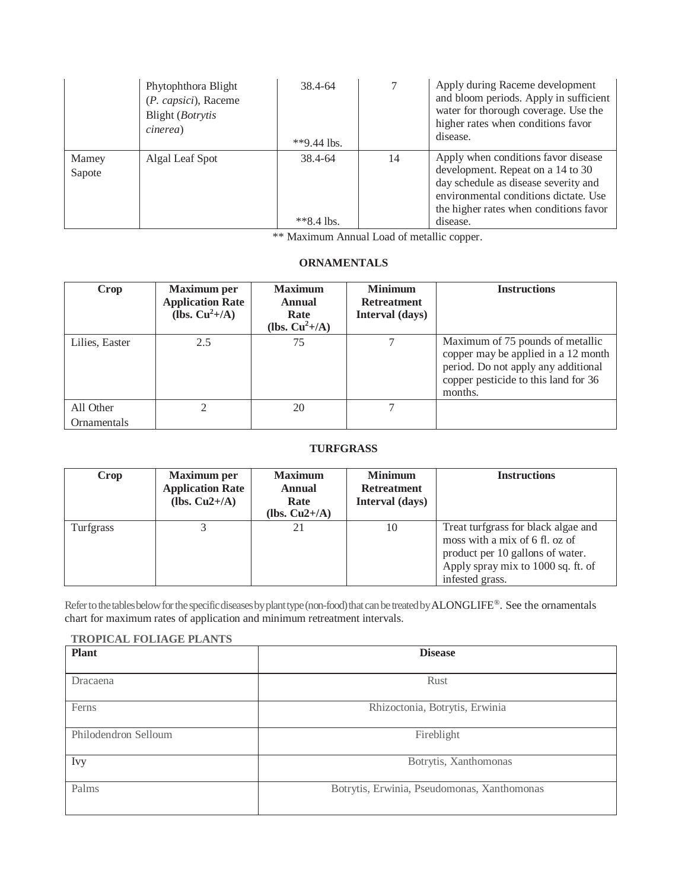|                 | Phytophthora Blight<br>(P. capsici), Raceme<br>Blight ( <i>Botrytis</i><br>cinerea) | 38.4-64<br>**9.44 lbs. | 7  | Apply during Raceme development<br>and bloom periods. Apply in sufficient<br>water for thorough coverage. Use the<br>higher rates when conditions favor<br>disease.                                             |
|-----------------|-------------------------------------------------------------------------------------|------------------------|----|-----------------------------------------------------------------------------------------------------------------------------------------------------------------------------------------------------------------|
| Mamey<br>Sapote | Algal Leaf Spot                                                                     | 38.4-64<br>$*8.4$ lbs. | 14 | Apply when conditions favor disease<br>development. Repeat on a 14 to 30<br>day schedule as disease severity and<br>environmental conditions dictate. Use<br>the higher rates when conditions favor<br>disease. |

## **ORNAMENTALS**

| Crop                     | <b>Maximum</b> per<br><b>Application Rate</b><br>(lbs. $Cu^2+/A$ ) | <b>Maximum</b><br><b>Annual</b><br>Rate<br>(lbs. $Cu^2+/A$ ) | <b>Minimum</b><br><b>Retreatment</b><br>Interval (days) | <b>Instructions</b>                                                                                                                                               |
|--------------------------|--------------------------------------------------------------------|--------------------------------------------------------------|---------------------------------------------------------|-------------------------------------------------------------------------------------------------------------------------------------------------------------------|
| Lilies, Easter           | 2.5                                                                | 75                                                           | 7                                                       | Maximum of 75 pounds of metallic<br>copper may be applied in a 12 month<br>period. Do not apply any additional<br>copper pesticide to this land for 36<br>months. |
| All Other<br>Ornamentals |                                                                    | 20                                                           | 7                                                       |                                                                                                                                                                   |

## **TURFGRASS**

| Crop      | <b>Maximum per</b><br><b>Application Rate</b><br>(lbs. $Cu2+/A$ ) | <b>Maximum</b><br><b>Annual</b><br>Rate<br>(lbs. $Cu2+/A$ ) | <b>Minimum</b><br><b>Retreatment</b><br>Interval (days) | <b>Instructions</b>                                                                                                                                                |
|-----------|-------------------------------------------------------------------|-------------------------------------------------------------|---------------------------------------------------------|--------------------------------------------------------------------------------------------------------------------------------------------------------------------|
| Turfgrass |                                                                   | 21                                                          | 10                                                      | Treat turfgrass for black algae and<br>moss with a mix of 6 fl. oz of<br>product per 10 gallons of water.<br>Apply spray mix to 1000 sq. ft. of<br>infested grass. |

Refer to the tables below for the specific diseases by plant type (non-food) that can be treated by ALONGLIFE®. See the ornamentals chart for maximum rates of application and minimum retreatment intervals.

#### **TROPICAL FOLIAGE PLANTS**

| <b>Plant</b>         | <b>Disease</b>                              |  |  |
|----------------------|---------------------------------------------|--|--|
| Dracaena             | Rust                                        |  |  |
| Ferns                | Rhizoctonia, Botrytis, Erwinia              |  |  |
| Philodendron Selloum | Fireblight                                  |  |  |
| <b>Ivy</b>           | Botrytis, Xanthomonas                       |  |  |
| Palms                | Botrytis, Erwinia, Pseudomonas, Xanthomonas |  |  |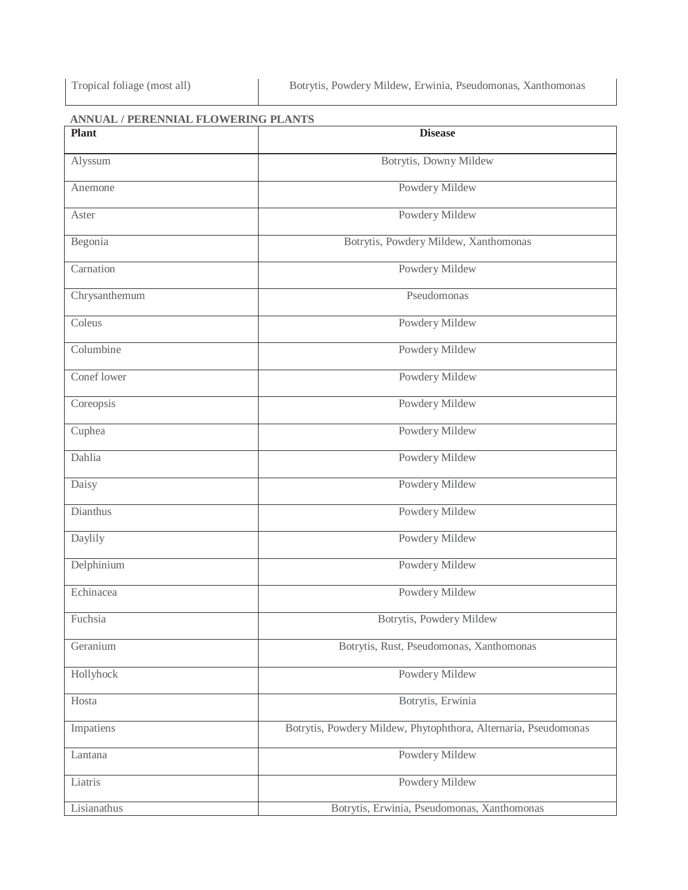# **ANNUAL / PERENNIAL FLOWERING PLANTS**

| <b>Plant</b>  | <b>Disease</b>                                                  |  |  |
|---------------|-----------------------------------------------------------------|--|--|
| Alyssum       | Botrytis, Downy Mildew                                          |  |  |
| Anemone       | Powdery Mildew                                                  |  |  |
| Aster         | Powdery Mildew                                                  |  |  |
| Begonia       | Botrytis, Powdery Mildew, Xanthomonas                           |  |  |
| Carnation     | Powdery Mildew                                                  |  |  |
| Chrysanthemum | Pseudomonas                                                     |  |  |
| Coleus        | Powdery Mildew                                                  |  |  |
| Columbine     | Powdery Mildew                                                  |  |  |
| Conef lower   | Powdery Mildew                                                  |  |  |
| Coreopsis     | Powdery Mildew                                                  |  |  |
| Cuphea        | Powdery Mildew                                                  |  |  |
| Dahlia        | Powdery Mildew                                                  |  |  |
| Daisy         | Powdery Mildew                                                  |  |  |
| Dianthus      | Powdery Mildew                                                  |  |  |
| Daylily       | Powdery Mildew                                                  |  |  |
| Delphinium    | Powdery Mildew                                                  |  |  |
| Echinacea     | Powdery Mildew                                                  |  |  |
| Fuchsia       | Botrytis, Powdery Mildew                                        |  |  |
| Geranium      | Botrytis, Rust, Pseudomonas, Xanthomonas                        |  |  |
| Hollyhock     | Powdery Mildew                                                  |  |  |
| Hosta         | Botrytis, Erwinia                                               |  |  |
| Impatiens     | Botrytis, Powdery Mildew, Phytophthora, Alternaria, Pseudomonas |  |  |
| Lantana       | Powdery Mildew                                                  |  |  |
| Liatris       | Powdery Mildew                                                  |  |  |
| Lisianathus   | Botrytis, Erwinia, Pseudomonas, Xanthomonas                     |  |  |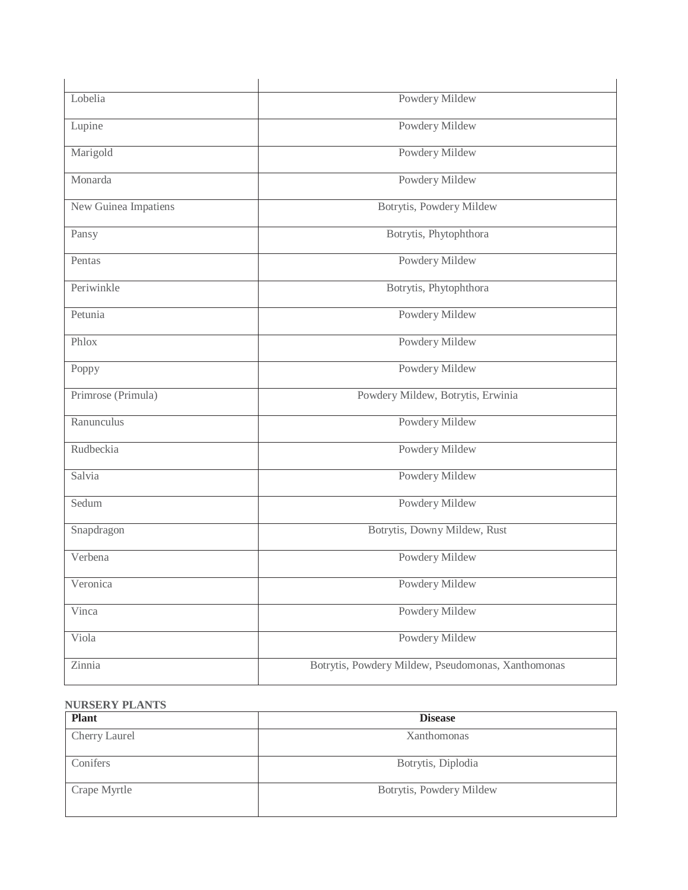| Lobelia              | Powdery Mildew                                     |
|----------------------|----------------------------------------------------|
| Lupine               | Powdery Mildew                                     |
| Marigold             | Powdery Mildew                                     |
| Monarda              | Powdery Mildew                                     |
| New Guinea Impatiens | Botrytis, Powdery Mildew                           |
| Pansy                | Botrytis, Phytophthora                             |
| Pentas               | Powdery Mildew                                     |
| Periwinkle           | Botrytis, Phytophthora                             |
| Petunia              | Powdery Mildew                                     |
| Phlox                | Powdery Mildew                                     |
| Poppy                | Powdery Mildew                                     |
| Primrose (Primula)   | Powdery Mildew, Botrytis, Erwinia                  |
| Ranunculus           | Powdery Mildew                                     |
| Rudbeckia            | Powdery Mildew                                     |
| Salvia               | Powdery Mildew                                     |
| Sedum                | Powdery Mildew                                     |
| Snapdragon           | Botrytis, Downy Mildew, Rust                       |
| Verbena              | Powdery Mildew                                     |
| Veronica             | Powdery Mildew                                     |
| Vinca                | Powdery Mildew                                     |
| Viola                | Powdery Mildew                                     |
| Zinnia               | Botrytis, Powdery Mildew, Pseudomonas, Xanthomonas |
|                      |                                                    |

# **NURSERY PLANTS**

| <b>Plant</b>         | <b>Disease</b>           |
|----------------------|--------------------------|
| <b>Cherry Laurel</b> | Xanthomonas              |
| Conifers             | Botrytis, Diplodia       |
| Crape Myrtle         | Botrytis, Powdery Mildew |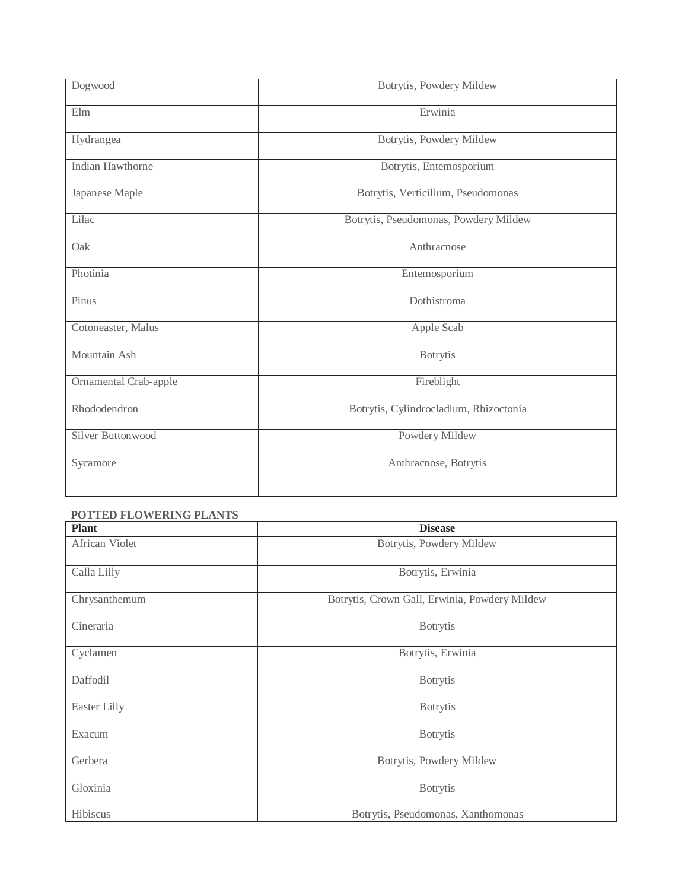| Dogwood               | Botrytis, Powdery Mildew               |  |
|-----------------------|----------------------------------------|--|
| Elm                   | Erwinia                                |  |
| Hydrangea             | Botrytis, Powdery Mildew               |  |
| Indian Hawthorne      | Botrytis, Entemosporium                |  |
| Japanese Maple        | Botrytis, Verticillum, Pseudomonas     |  |
| Lilac                 | Botrytis, Pseudomonas, Powdery Mildew  |  |
| Oak                   | Anthracnose                            |  |
| Photinia              | Entemosporium                          |  |
| Pinus                 | Dothistroma                            |  |
| Cotoneaster, Malus    | Apple Scab                             |  |
| Mountain Ash          | <b>Botrytis</b>                        |  |
| Ornamental Crab-apple | Fireblight                             |  |
| Rhododendron          | Botrytis, Cylindrocladium, Rhizoctonia |  |
| Silver Buttonwood     | Powdery Mildew                         |  |
| Sycamore              | Anthracnose, Botrytis                  |  |

| <b>Plant</b>   | <b>Disease</b>                                |
|----------------|-----------------------------------------------|
| African Violet | Botrytis, Powdery Mildew                      |
| Calla Lilly    | Botrytis, Erwinia                             |
| Chrysanthemum  | Botrytis, Crown Gall, Erwinia, Powdery Mildew |
| Cineraria      | <b>Botrytis</b>                               |
| Cyclamen       | Botrytis, Erwinia                             |
| Daffodil       | <b>Botrytis</b>                               |
| Easter Lilly   | <b>Botrytis</b>                               |
| Exacum         | <b>Botrytis</b>                               |
| Gerbera        | Botrytis, Powdery Mildew                      |
| Gloxinia       | <b>Botrytis</b>                               |
| Hibiscus       | Botrytis, Pseudomonas, Xanthomonas            |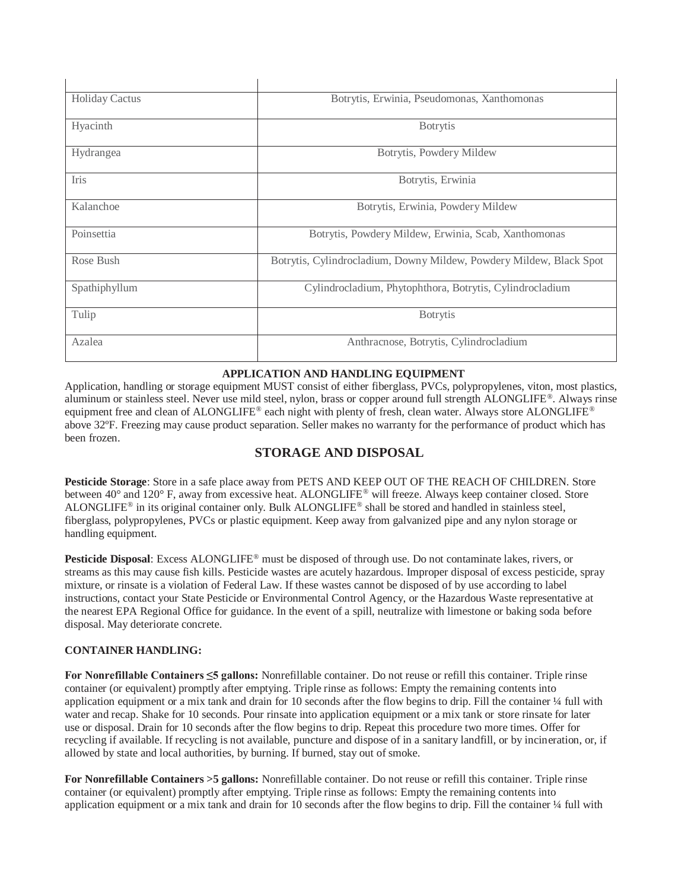| <b>Holiday Cactus</b> | Botrytis, Erwinia, Pseudomonas, Xanthomonas                         |
|-----------------------|---------------------------------------------------------------------|
| Hyacinth              | <b>Botrytis</b>                                                     |
| Hydrangea             | Botrytis, Powdery Mildew                                            |
| <b>Iris</b>           | Botrytis, Erwinia                                                   |
| Kalanchoe             | Botrytis, Erwinia, Powdery Mildew                                   |
| Poinsettia            | Botrytis, Powdery Mildew, Erwinia, Scab, Xanthomonas                |
| Rose Bush             | Botrytis, Cylindrocladium, Downy Mildew, Powdery Mildew, Black Spot |
| Spathiphyllum         | Cylindrocladium, Phytophthora, Botrytis, Cylindrocladium            |
| Tulip                 | <b>B</b> otrytis                                                    |
| Azalea                | Anthracnose, Botrytis, Cylindrocladium                              |

### **APPLICATION AND HANDLING EQUIPMENT**

Application, handling or storage equipment MUST consist of either fiberglass, PVCs, polypropylenes, viton, most plastics, aluminum or stainless steel. Never use mild steel, nylon, brass or copper around full strength ALONGLIFE®. Always rinse equipment free and clean of ALONGLIFE® each night with plenty of fresh, clean water. Always store ALONGLIFE® above 32ºF. Freezing may cause product separation. Seller makes no warranty for the performance of product which has been frozen.

# **STORAGE AND DISPOSAL**

**Pesticide Storage**: Store in a safe place away from PETS AND KEEP OUT OF THE REACH OF CHILDREN. Store between 40° and 120° F, away from excessive heat. ALONGLIFE® will freeze. Always keep container closed. Store ALONGLIFE® in its original container only. Bulk ALONGLIFE® shall be stored and handled in stainless steel, fiberglass, polypropylenes, PVCs or plastic equipment. Keep away from galvanized pipe and any nylon storage or handling equipment.

**Pesticide Disposal**: Excess ALONGLIFE® must be disposed of through use. Do not contaminate lakes, rivers, or streams as this may cause fish kills. Pesticide wastes are acutely hazardous. Improper disposal of excess pesticide, spray mixture, or rinsate is a violation of Federal Law. If these wastes cannot be disposed of by use according to label instructions, contact your State Pesticide or Environmental Control Agency, or the Hazardous Waste representative at the nearest EPA Regional Office for guidance. In the event of a spill, neutralize with limestone or baking soda before disposal. May deteriorate concrete.

#### **CONTAINER HANDLING:**

**For Nonrefillable Containers ≤5 gallons:** Nonrefillable container. Do not reuse or refill this container. Triple rinse container (or equivalent) promptly after emptying. Triple rinse as follows: Empty the remaining contents into application equipment or a mix tank and drain for 10 seconds after the flow begins to drip. Fill the container  $\frac{1}{4}$  full with water and recap. Shake for 10 seconds. Pour rinsate into application equipment or a mix tank or store rinsate for later use or disposal. Drain for 10 seconds after the flow begins to drip. Repeat this procedure two more times. Offer for recycling if available. If recycling is not available, puncture and dispose of in a sanitary landfill, or by incineration, or, if allowed by state and local authorities, by burning. If burned, stay out of smoke.

**For Nonrefillable Containers >5 gallons:** Nonrefillable container. Do not reuse or refill this container. Triple rinse container (or equivalent) promptly after emptying. Triple rinse as follows: Empty the remaining contents into application equipment or a mix tank and drain for 10 seconds after the flow begins to drip. Fill the container ¼ full with